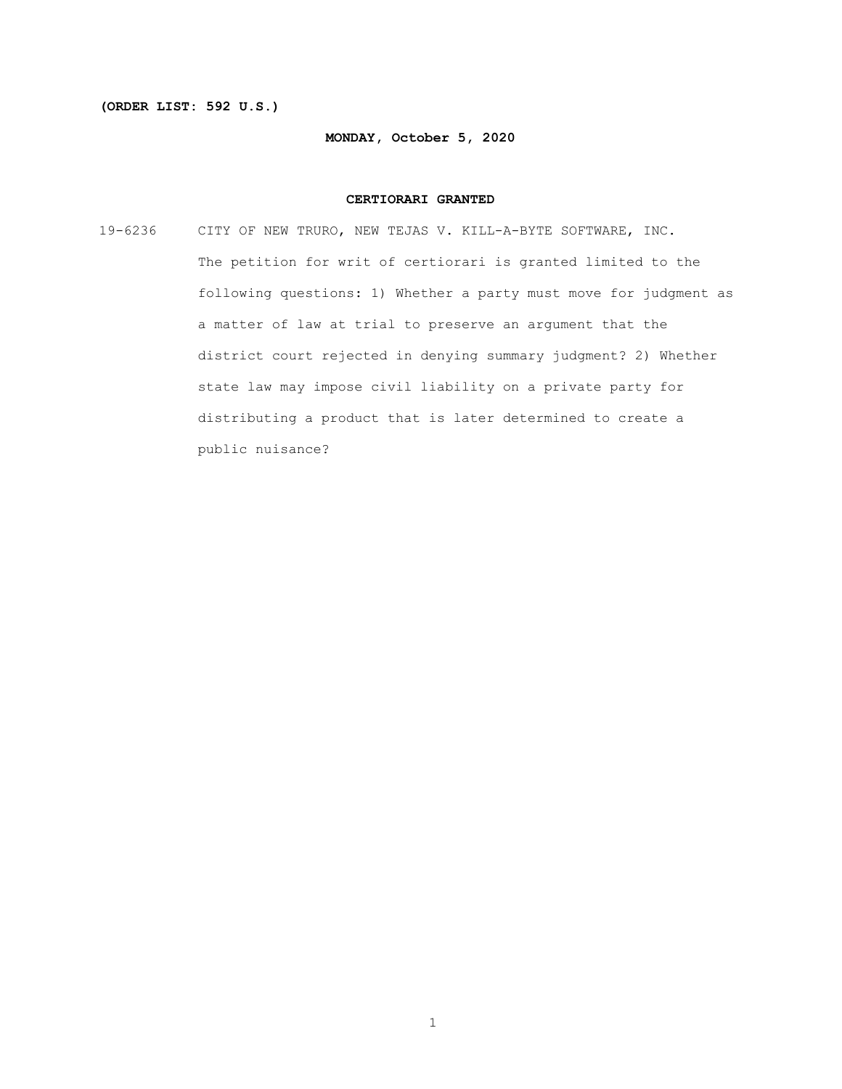#### **(ORDER LIST: 592 U.S.)**

#### **MONDAY, October 5, 2020**

#### **CERTIORARI GRANTED**

19-6236 CITY OF NEW TRURO, NEW TEJAS V. KILL-A-BYTE SOFTWARE, INC. The petition for writ of certiorari is granted limited to the following questions: 1) Whether a party must move for judgment as a matter of law at trial to preserve an argument that the district court rejected in denying summary judgment? 2) Whether state law may impose civil liability on a private party for distributing a product that is later determined to create a public nuisance?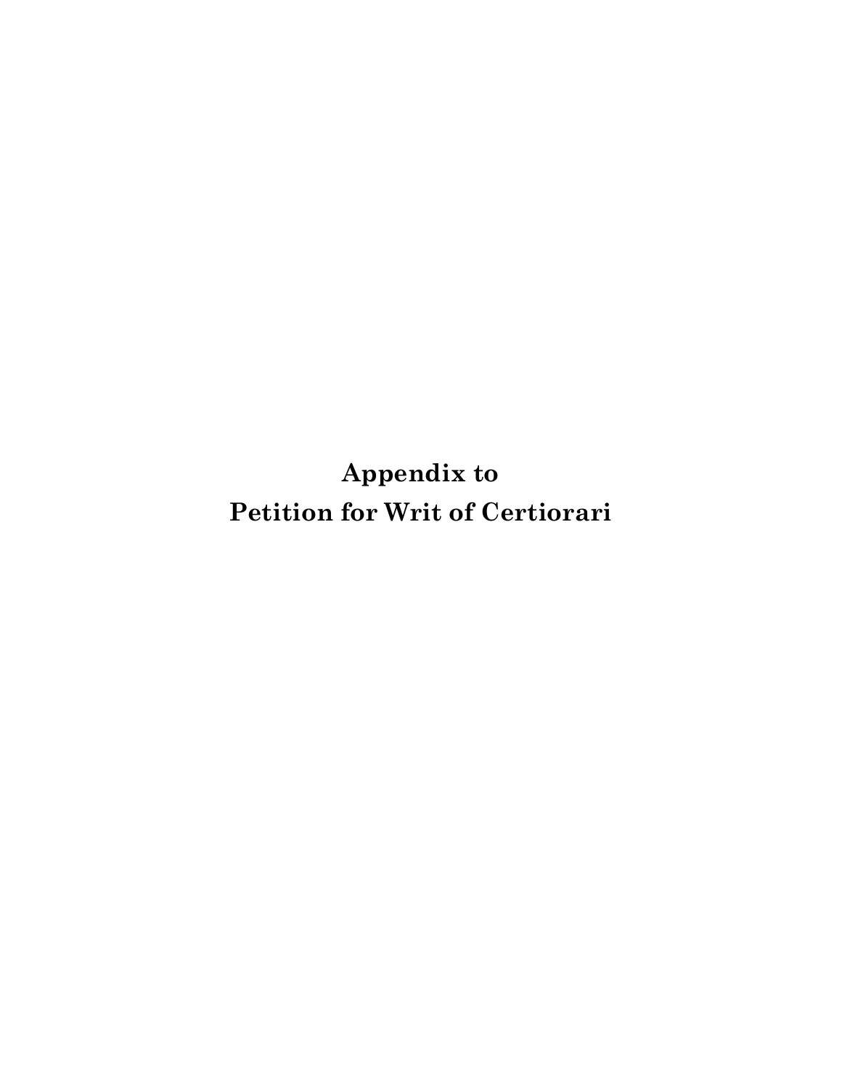**Appendix to Petition for Writ of Certiorari**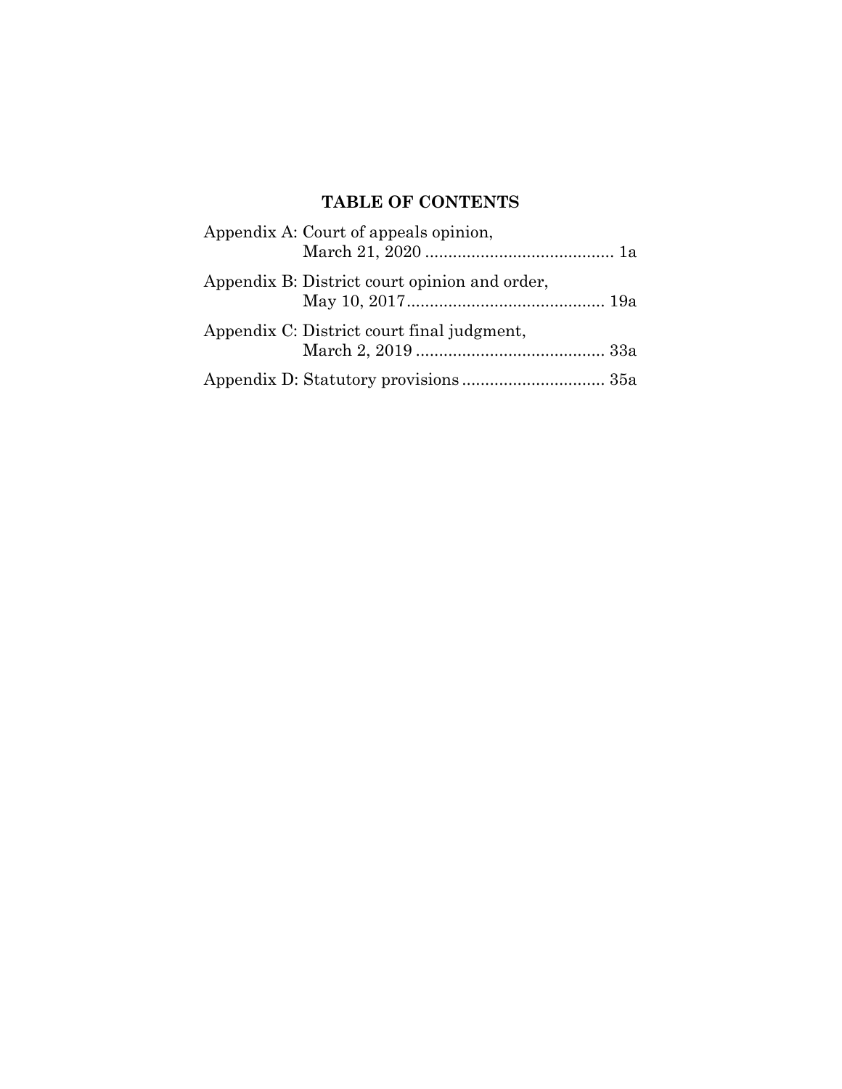# **TABLE OF CONTENTS**

| Appendix A: Court of appeals opinion,         |  |
|-----------------------------------------------|--|
| Appendix B: District court opinion and order, |  |
| Appendix C: District court final judgment,    |  |
|                                               |  |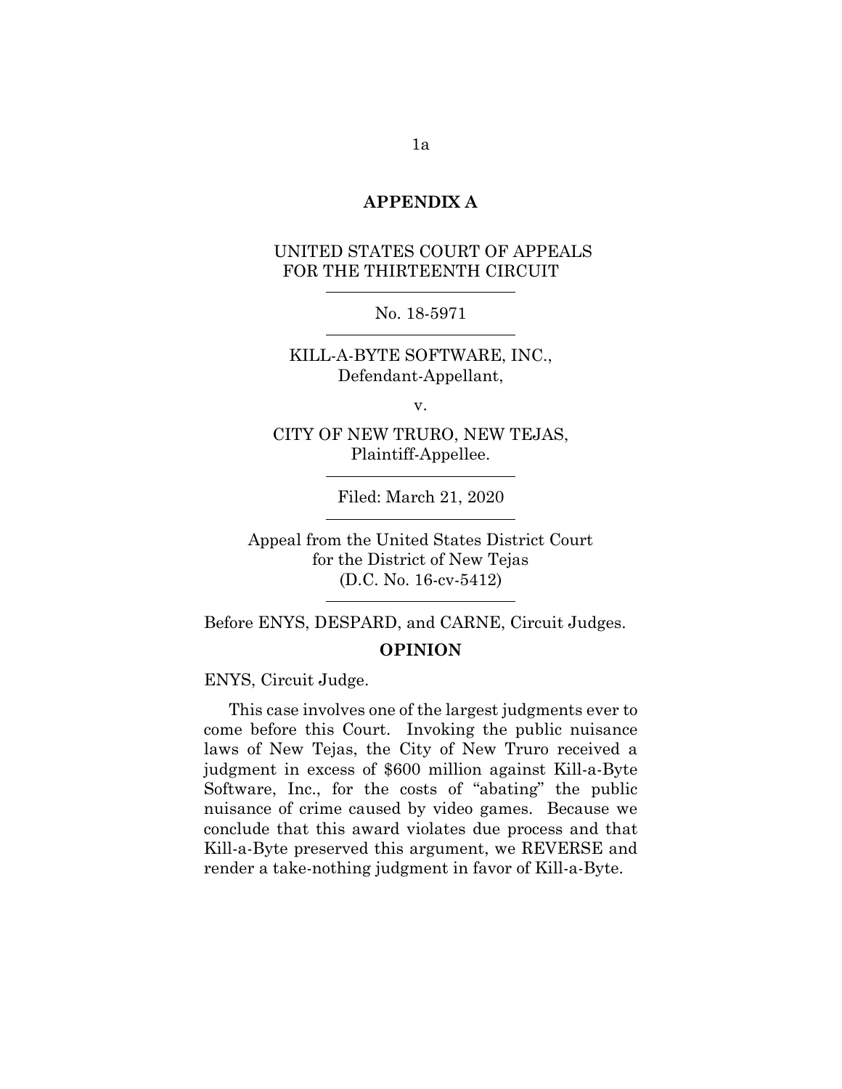### **APPENDIX A**

## UNITED STATES COURT OF APPEALS FOR THE THIRTEENTH CIRCUIT

No. 18-5971

KILL-A-BYTE SOFTWARE, INC., Defendant-Appellant,

v.

CITY OF NEW TRURO, NEW TEJAS, Plaintiff-Appellee.

Filed: March 21, 2020

Appeal from the United States District Court for the District of New Tejas (D.C. No. 16-cv-5412)

Before ENYS, DESPARD, and CARNE, Circuit Judges. **OPINION**

ENYS, Circuit Judge.

This case involves one of the largest judgments ever to come before this Court. Invoking the public nuisance laws of New Tejas, the City of New Truro received a judgment in excess of \$600 million against Kill-a-Byte Software, Inc., for the costs of "abating" the public nuisance of crime caused by video games. Because we conclude that this award violates due process and that Kill-a-Byte preserved this argument, we REVERSE and render a take-nothing judgment in favor of Kill-a-Byte.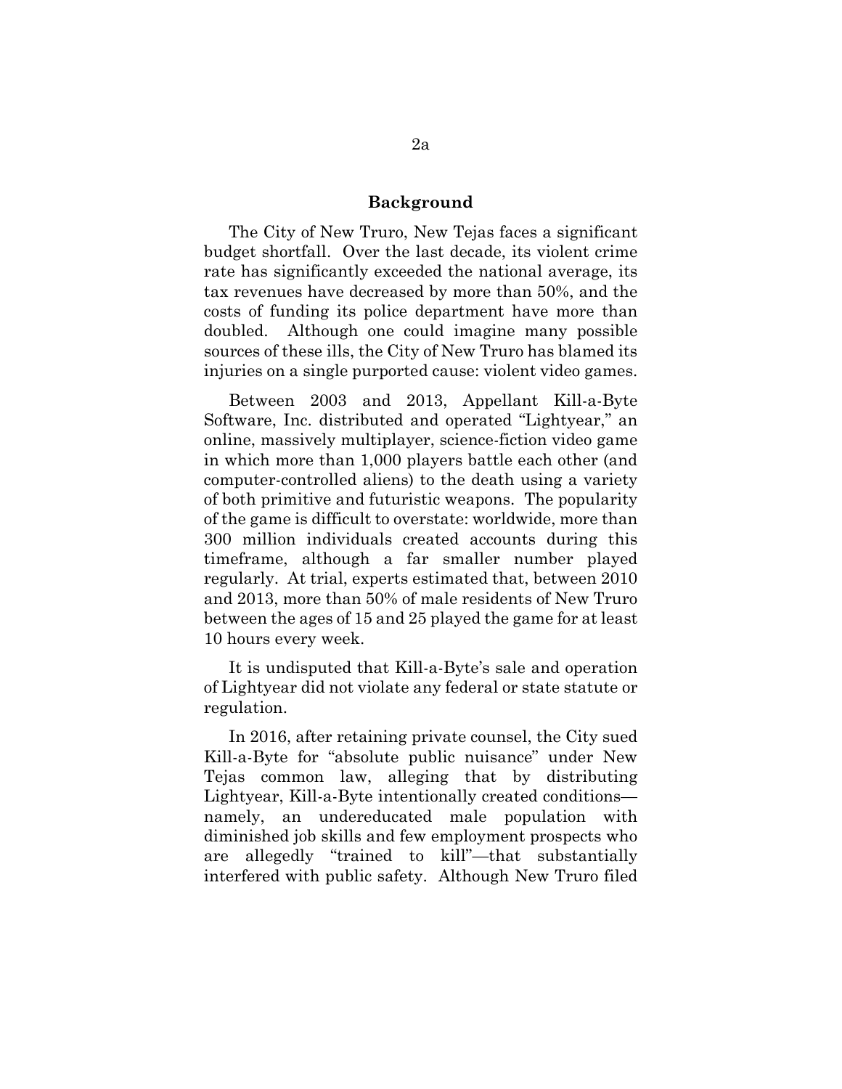#### **Background**

The City of New Truro, New Tejas faces a significant budget shortfall. Over the last decade, its violent crime rate has significantly exceeded the national average, its tax revenues have decreased by more than 50%, and the costs of funding its police department have more than doubled. Although one could imagine many possible sources of these ills, the City of New Truro has blamed its injuries on a single purported cause: violent video games.

Between 2003 and 2013, Appellant Kill-a-Byte Software, Inc. distributed and operated "Lightyear," an online, massively multiplayer, science-fiction video game in which more than 1,000 players battle each other (and computer-controlled aliens) to the death using a variety of both primitive and futuristic weapons. The popularity of the game is difficult to overstate: worldwide, more than 300 million individuals created accounts during this timeframe, although a far smaller number played regularly. At trial, experts estimated that, between 2010 and 2013, more than 50% of male residents of New Truro between the ages of 15 and 25 played the game for at least 10 hours every week.

It is undisputed that Kill-a-Byte's sale and operation of Lightyear did not violate any federal or state statute or regulation.

In 2016, after retaining private counsel, the City sued Kill-a-Byte for "absolute public nuisance" under New Tejas common law, alleging that by distributing Lightyear, Kill-a-Byte intentionally created conditions namely, an undereducated male population with diminished job skills and few employment prospects who are allegedly "trained to kill"—that substantially interfered with public safety. Although New Truro filed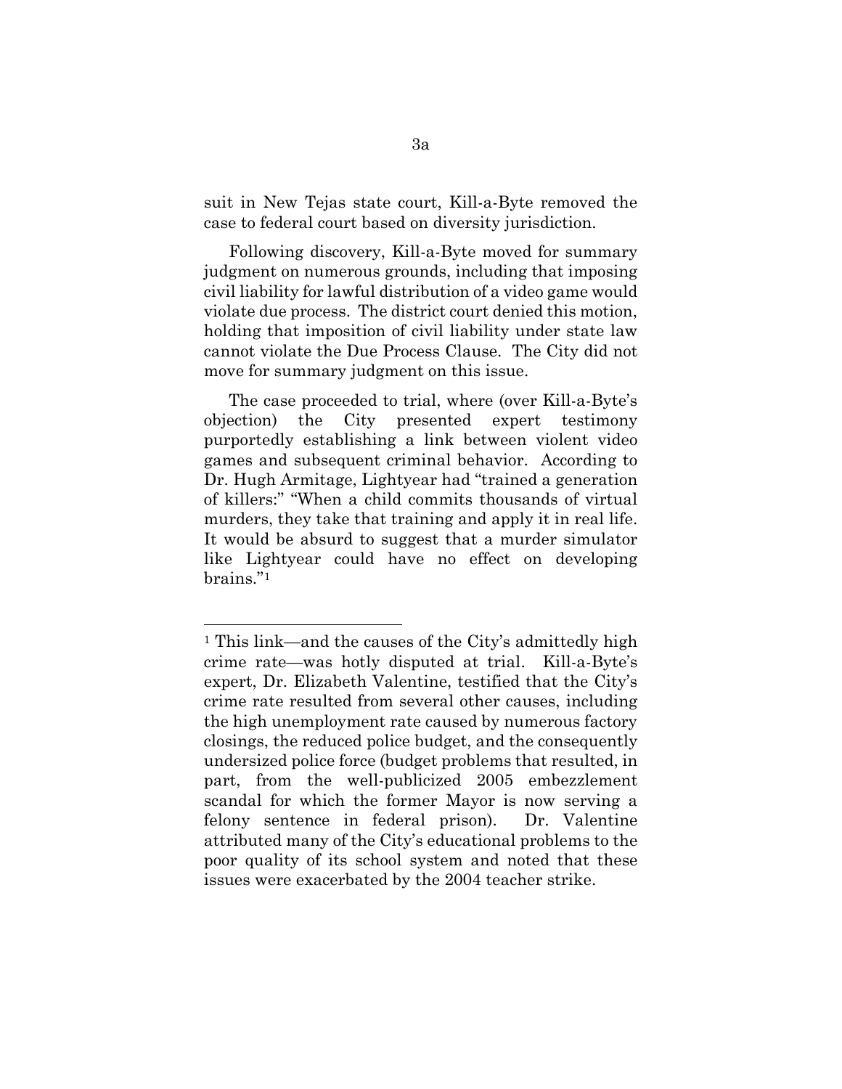suit in New Tejas state court, Kill-a-Byte removed the case to federal court based on diversity jurisdiction.

Following discovery, Kill-a-Byte moved for summary judgment on numerous grounds, including that imposing civil liability for lawful distribution of a video game would violate due process. The district court denied this motion, holding that imposition of civil liability under state law cannot violate the Due Process Clause. The City did not move for summary judgment on this issue.

The case proceeded to trial, where (over Kill-a-Byte's objection) the City presented expert testimony purportedly establishing a link between violent video games and subsequent criminal behavior. According to Dr. Hugh Armitage, Lightyear had "trained a generation of killers:" "When a child commits thousands of virtual murders, they take that training and apply it in real life. It would be absurd to suggest that a murder simulator like Lightyear could have no effect on developing brains."[1](#page-5-0)

<span id="page-5-0"></span><sup>&</sup>lt;sup>1</sup> This link—and the causes of the City's admittedly high crime rate—was hotly disputed at trial. Kill-a-Byte's expert, Dr. Elizabeth Valentine, testified that the City's crime rate resulted from several other causes, including the high unemployment rate caused by numerous factory closings, the reduced police budget, and the consequently undersized police force (budget problems that resulted, in part, from the well-publicized 2005 embezzlement scandal for which the former Mayor is now serving a felony sentence in federal prison). Dr. Valentine attributed many of the City's educational problems to the poor quality of its school system and noted that these issues were exacerbated by the 2004 teacher strike.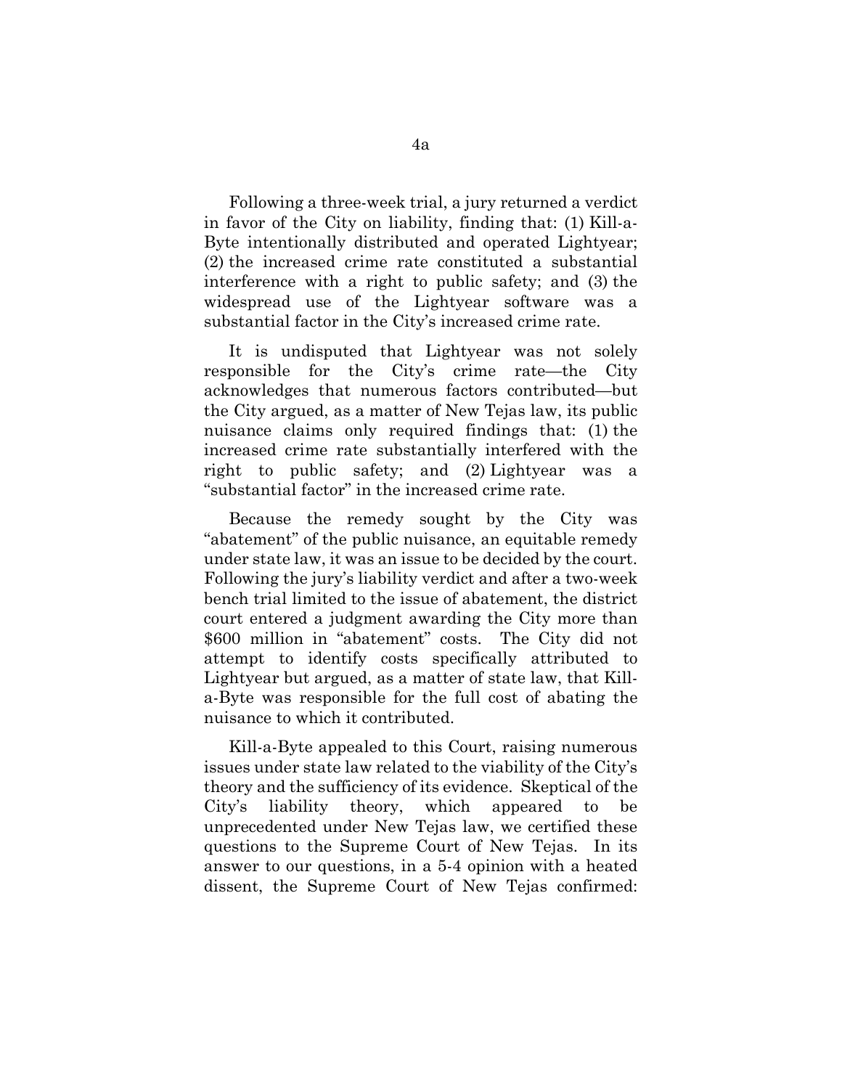Following a three-week trial, a jury returned a verdict in favor of the City on liability, finding that: (1) Kill-a-Byte intentionally distributed and operated Lightyear; (2) the increased crime rate constituted a substantial interference with a right to public safety; and (3) the widespread use of the Lightyear software was a substantial factor in the City's increased crime rate.

It is undisputed that Lightyear was not solely responsible for the City's crime rate—the City acknowledges that numerous factors contributed—but the City argued, as a matter of New Tejas law, its public nuisance claims only required findings that: (1) the increased crime rate substantially interfered with the right to public safety; and (2) Lightyear was a "substantial factor" in the increased crime rate.

Because the remedy sought by the City was "abatement" of the public nuisance, an equitable remedy under state law, it was an issue to be decided by the court. Following the jury's liability verdict and after a two-week bench trial limited to the issue of abatement, the district court entered a judgment awarding the City more than \$600 million in "abatement" costs. The City did not attempt to identify costs specifically attributed to Lightyear but argued, as a matter of state law, that Killa-Byte was responsible for the full cost of abating the nuisance to which it contributed.

Kill-a-Byte appealed to this Court, raising numerous issues under state law related to the viability of the City's theory and the sufficiency of its evidence. Skeptical of the City's liability theory, which appeared to be unprecedented under New Tejas law, we certified these questions to the Supreme Court of New Tejas. In its answer to our questions, in a 5-4 opinion with a heated dissent, the Supreme Court of New Tejas confirmed: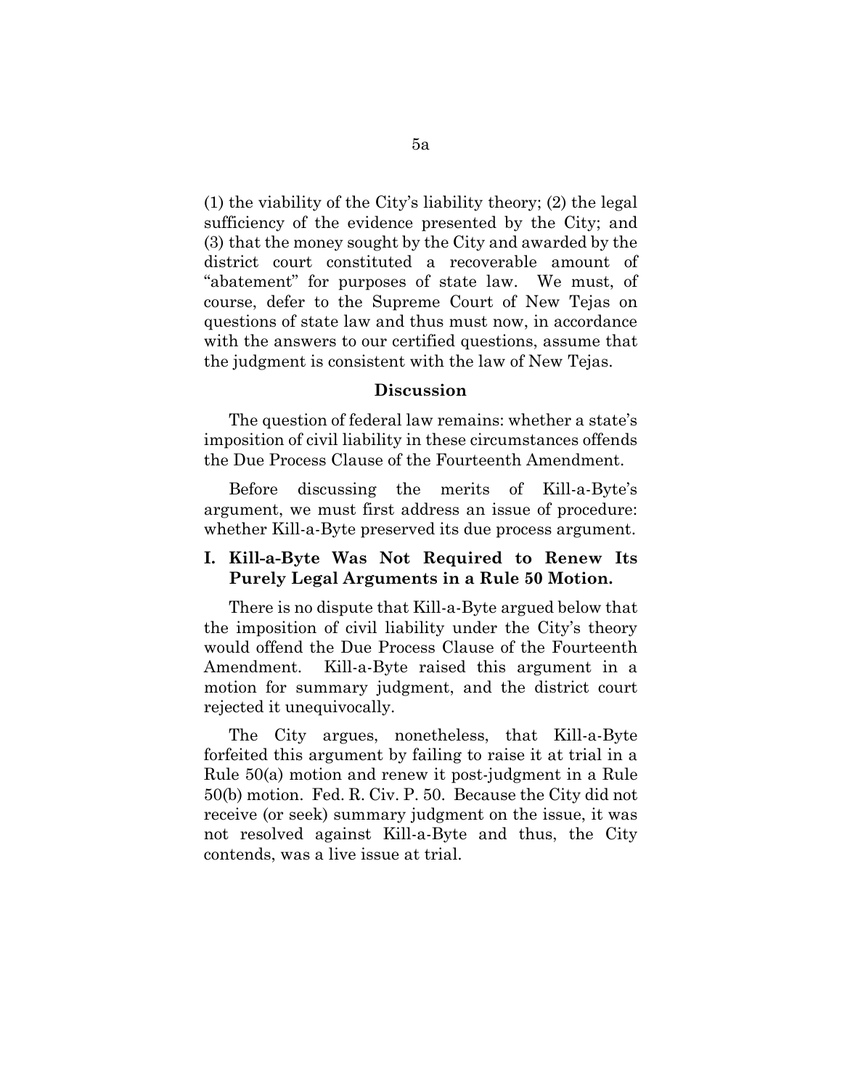(1) the viability of the City's liability theory; (2) the legal sufficiency of the evidence presented by the City; and (3) that the money sought by the City and awarded by the district court constituted a recoverable amount of "abatement" for purposes of state law. We must, of course, defer to the Supreme Court of New Tejas on questions of state law and thus must now, in accordance with the answers to our certified questions, assume that the judgment is consistent with the law of New Tejas.

#### **Discussion**

The question of federal law remains: whether a state's imposition of civil liability in these circumstances offends the Due Process Clause of the Fourteenth Amendment.

Before discussing the merits of Kill-a-Byte's argument, we must first address an issue of procedure: whether Kill-a-Byte preserved its due process argument.

### **I. Kill-a-Byte Was Not Required to Renew Its Purely Legal Arguments in a Rule 50 Motion.**

There is no dispute that Kill-a-Byte argued below that the imposition of civil liability under the City's theory would offend the Due Process Clause of the Fourteenth Amendment. Kill-a-Byte raised this argument in a motion for summary judgment, and the district court rejected it unequivocally.

The City argues, nonetheless, that Kill-a-Byte forfeited this argument by failing to raise it at trial in a Rule 50(a) motion and renew it post-judgment in a Rule 50(b) motion. Fed. R. Civ. P. 50. Because the City did not receive (or seek) summary judgment on the issue, it was not resolved against Kill-a-Byte and thus, the City contends, was a live issue at trial.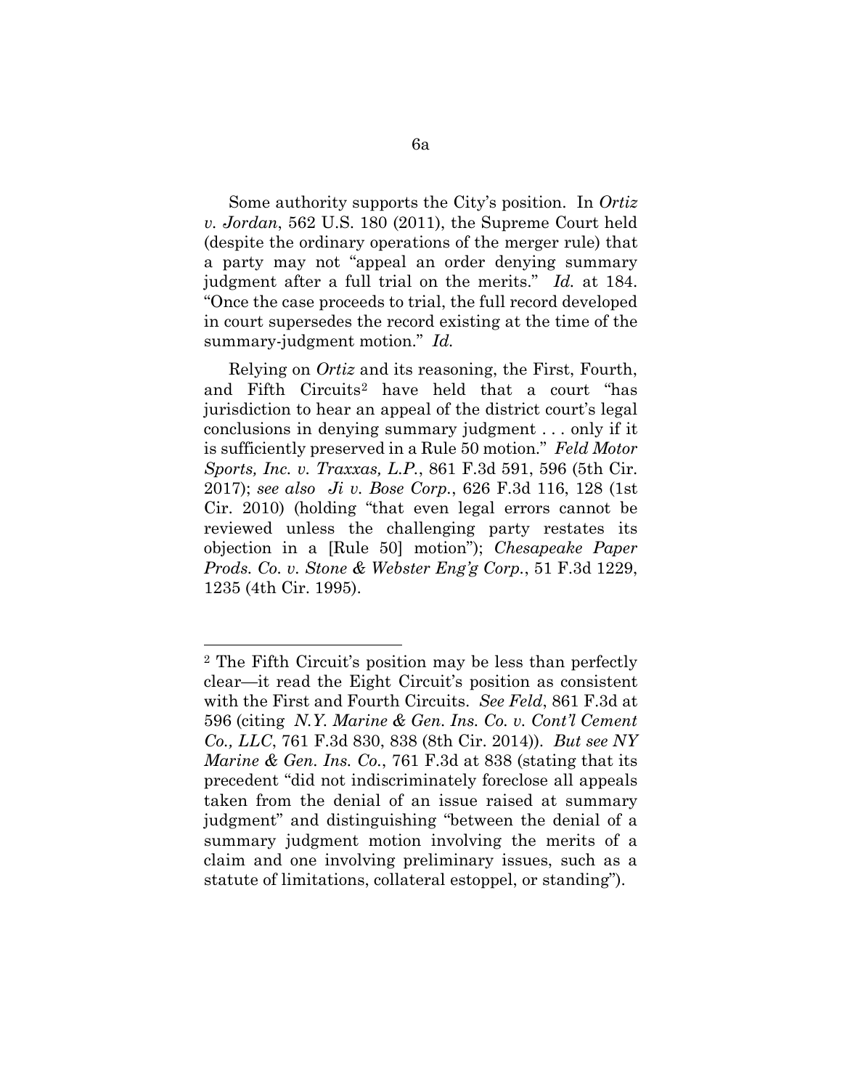Some authority supports the City's position. In *Ortiz v. Jordan*, 562 U.S. 180 (2011), the Supreme Court held (despite the ordinary operations of the merger rule) that a party may not "appeal an order denying summary judgment after a full trial on the merits." *Id.* at 184. "Once the case proceeds to trial, the full record developed in court supersedes the record existing at the time of the summary-judgment motion." *Id.*

Relying on *Ortiz* and its reasoning, the First, Fourth, and Fifth Circuits[2](#page-8-0) have held that a court "has jurisdiction to hear an appeal of the district court's legal conclusions in denying summary judgment . . . only if it is sufficiently preserved in a Rule 50 motion." *Feld Motor Sports, Inc. v. Traxxas, L.P.*, 861 F.3d 591, 596 (5th Cir. 2017); *see also Ji v. Bose Corp.*, 626 F.3d 116, 128 (1st Cir. 2010) (holding "that even legal errors cannot be reviewed unless the challenging party restates its objection in a [Rule 50] motion"); *Chesapeake Paper Prods. Co. v. Stone & Webster Eng'g Corp.*, 51 F.3d 1229, 1235 (4th Cir. 1995).

<span id="page-8-0"></span><sup>2</sup> The Fifth Circuit's position may be less than perfectly clear—it read the Eight Circuit's position as consistent with the First and Fourth Circuits. *See Feld*, 861 F.3d at 596 (citing *N.Y. Marine & Gen. Ins. Co. v. Cont'l Cement Co., LLC*, 761 F.3d 830, 838 (8th Cir. 2014)). *But see NY Marine & Gen. Ins. Co.*, 761 F.3d at 838 (stating that its precedent "did not indiscriminately foreclose all appeals taken from the denial of an issue raised at summary judgment" and distinguishing "between the denial of a summary judgment motion involving the merits of a claim and one involving preliminary issues, such as a statute of limitations, collateral estoppel, or standing").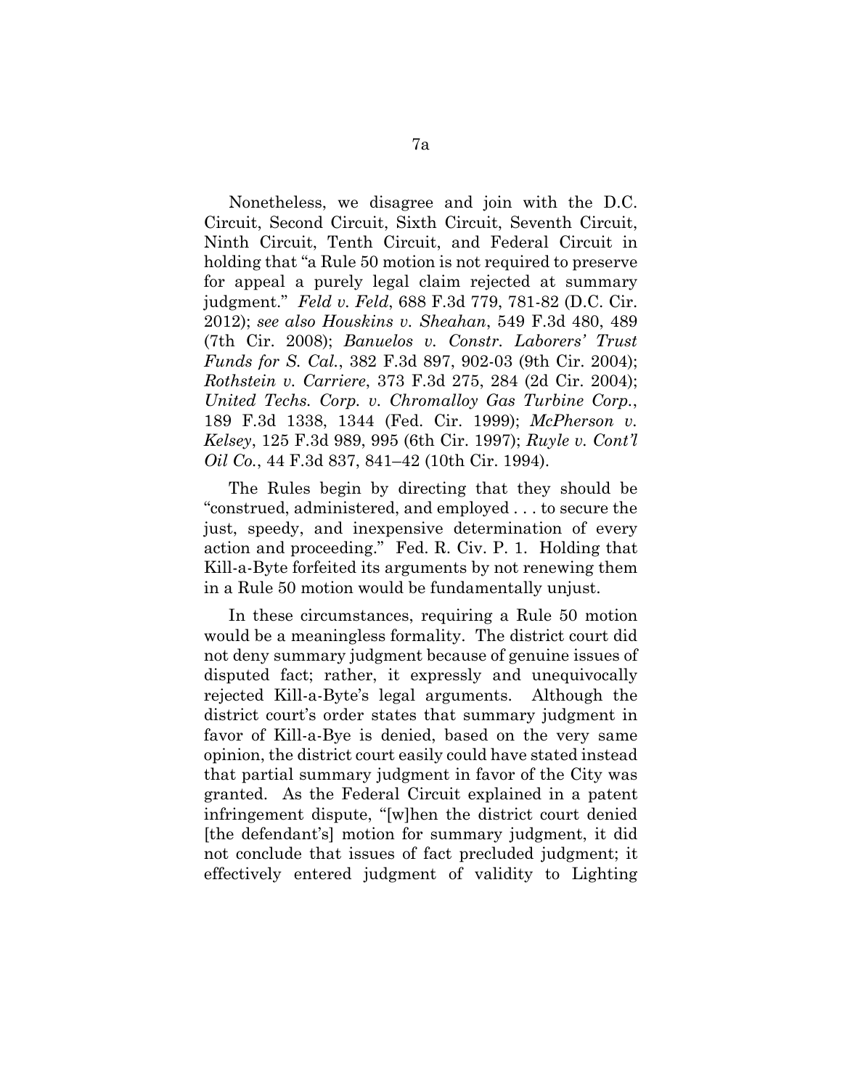Nonetheless, we disagree and join with the D.C. Circuit, Second Circuit, Sixth Circuit, Seventh Circuit, Ninth Circuit, Tenth Circuit, and Federal Circuit in holding that "a Rule 50 motion is not required to preserve for appeal a purely legal claim rejected at summary judgment." *Feld v. Feld*, 688 F.3d 779, 781-82 (D.C. Cir. 2012); *see also Houskins v. Sheahan*, 549 F.3d 480, 489 (7th Cir. 2008); *Banuelos v. Constr. Laborers' Trust Funds for S. Cal.*, 382 F.3d 897, 902-03 (9th Cir. 2004); *Rothstein v. Carriere*, 373 F.3d 275, 284 (2d Cir. 2004); *United Techs. Corp. v. Chromalloy Gas Turbine Corp.*, 189 F.3d 1338, 1344 (Fed. Cir. 1999); *McPherson v. Kelsey*, 125 F.3d 989, 995 (6th Cir. 1997); *Ruyle v. Cont'l Oil Co.*, 44 F.3d 837, 841–42 (10th Cir. 1994).

The Rules begin by directing that they should be "construed, administered, and employed . . . to secure the just, speedy, and inexpensive determination of every action and proceeding." Fed. R. Civ. P. 1. Holding that Kill-a-Byte forfeited its arguments by not renewing them in a Rule 50 motion would be fundamentally unjust.

In these circumstances, requiring a Rule 50 motion would be a meaningless formality. The district court did not deny summary judgment because of genuine issues of disputed fact; rather, it expressly and unequivocally rejected Kill-a-Byte's legal arguments. Although the district court's order states that summary judgment in favor of Kill-a-Bye is denied, based on the very same opinion, the district court easily could have stated instead that partial summary judgment in favor of the City was granted. As the Federal Circuit explained in a patent infringement dispute, "[w]hen the district court denied [the defendant's] motion for summary judgment, it did not conclude that issues of fact precluded judgment; it effectively entered judgment of validity to Lighting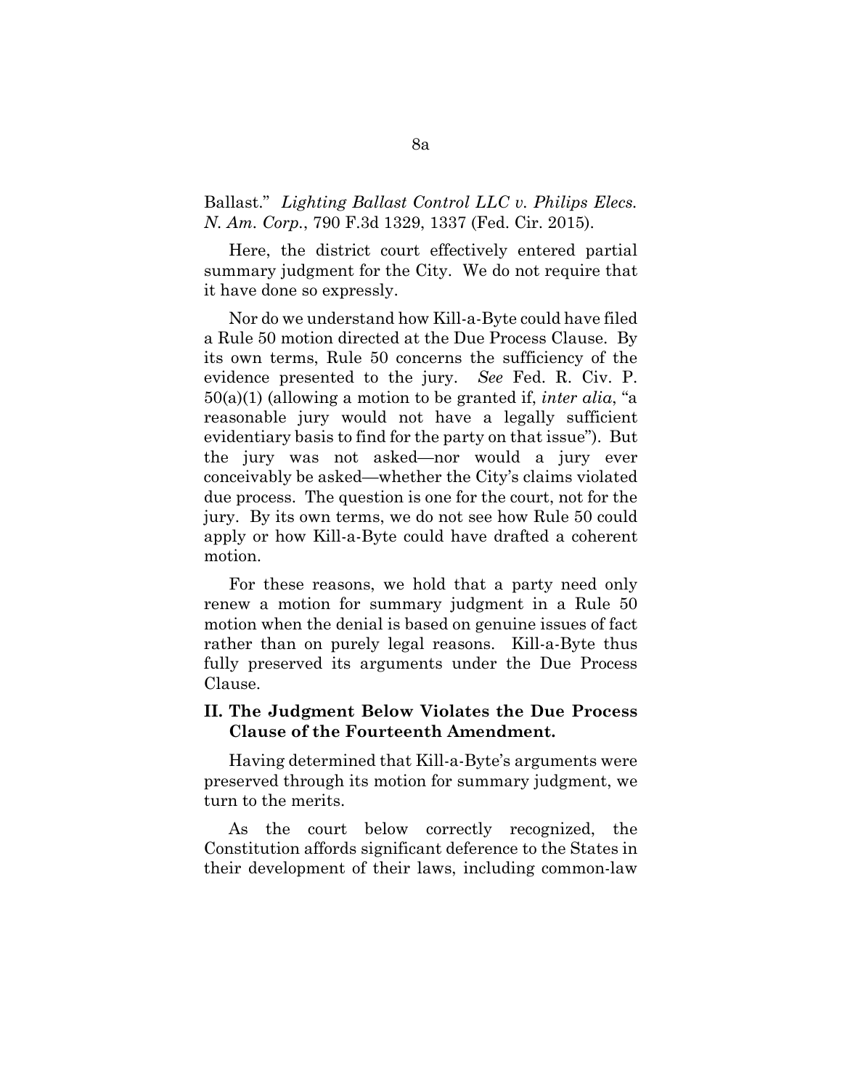### Ballast." *Lighting Ballast Control LLC v. Philips Elecs. N. Am. Corp.*, 790 F.3d 1329, 1337 (Fed. Cir. 2015).

Here, the district court effectively entered partial summary judgment for the City. We do not require that it have done so expressly.

Nor do we understand how Kill-a-Byte could have filed a Rule 50 motion directed at the Due Process Clause. By its own terms, Rule 50 concerns the sufficiency of the evidence presented to the jury. *See* Fed. R. Civ. P. 50(a)(1) (allowing a motion to be granted if, *inter alia*, "a reasonable jury would not have a legally sufficient evidentiary basis to find for the party on that issue"). But the jury was not asked—nor would a jury ever conceivably be asked—whether the City's claims violated due process. The question is one for the court, not for the jury. By its own terms, we do not see how Rule 50 could apply or how Kill-a-Byte could have drafted a coherent motion.

For these reasons, we hold that a party need only renew a motion for summary judgment in a Rule 50 motion when the denial is based on genuine issues of fact rather than on purely legal reasons. Kill-a-Byte thus fully preserved its arguments under the Due Process Clause.

### **II. The Judgment Below Violates the Due Process Clause of the Fourteenth Amendment.**

Having determined that Kill-a-Byte's arguments were preserved through its motion for summary judgment, we turn to the merits.

As the court below correctly recognized, the Constitution affords significant deference to the States in their development of their laws, including common-law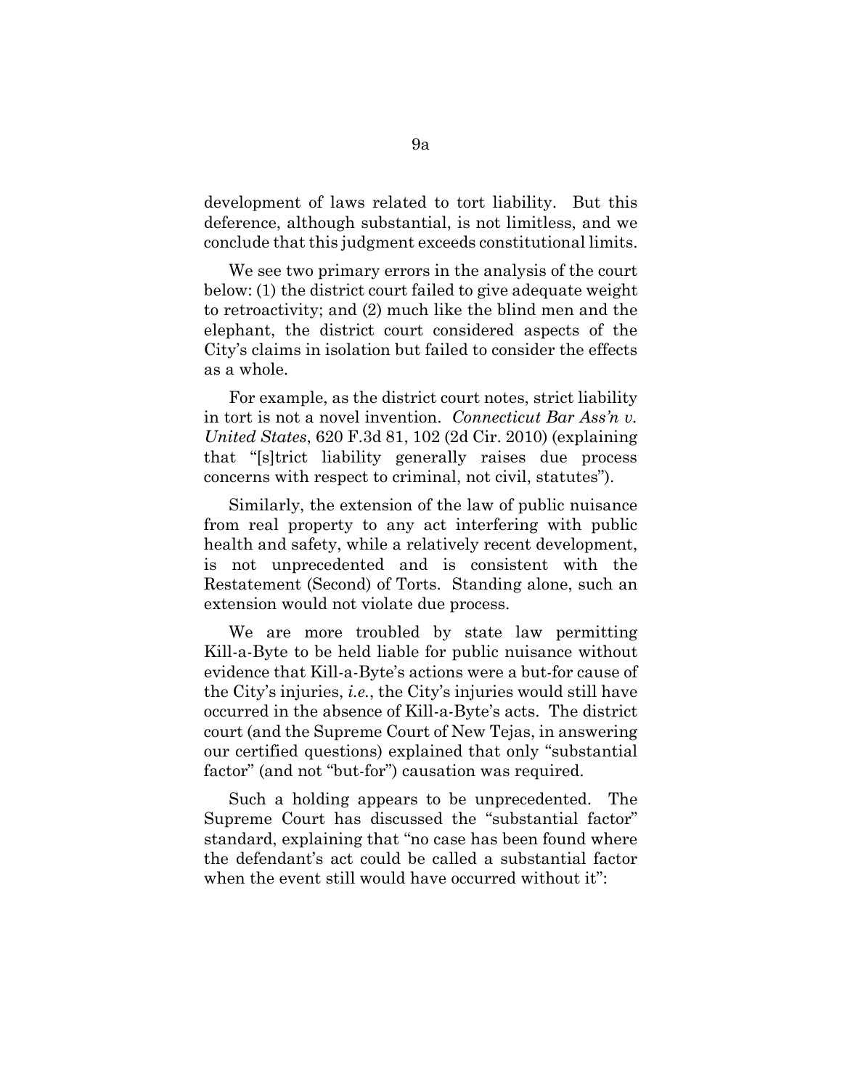development of laws related to tort liability. But this deference, although substantial, is not limitless, and we conclude that this judgment exceeds constitutional limits.

We see two primary errors in the analysis of the court below: (1) the district court failed to give adequate weight to retroactivity; and (2) much like the blind men and the elephant, the district court considered aspects of the City's claims in isolation but failed to consider the effects as a whole.

For example, as the district court notes, strict liability in tort is not a novel invention. *Connecticut Bar Ass'n v. United States*, 620 F.3d 81, 102 (2d Cir. 2010) (explaining that "[s]trict liability generally raises due process concerns with respect to criminal, not civil, statutes").

Similarly, the extension of the law of public nuisance from real property to any act interfering with public health and safety, while a relatively recent development, is not unprecedented and is consistent with the Restatement (Second) of Torts. Standing alone, such an extension would not violate due process.

We are more troubled by state law permitting Kill-a-Byte to be held liable for public nuisance without evidence that Kill-a-Byte's actions were a but-for cause of the City's injuries, *i.e.*, the City's injuries would still have occurred in the absence of Kill-a-Byte's acts. The district court (and the Supreme Court of New Tejas, in answering our certified questions) explained that only "substantial factor" (and not "but-for") causation was required.

Such a holding appears to be unprecedented. The Supreme Court has discussed the "substantial factor" standard, explaining that "no case has been found where the defendant's act could be called a substantial factor when the event still would have occurred without it":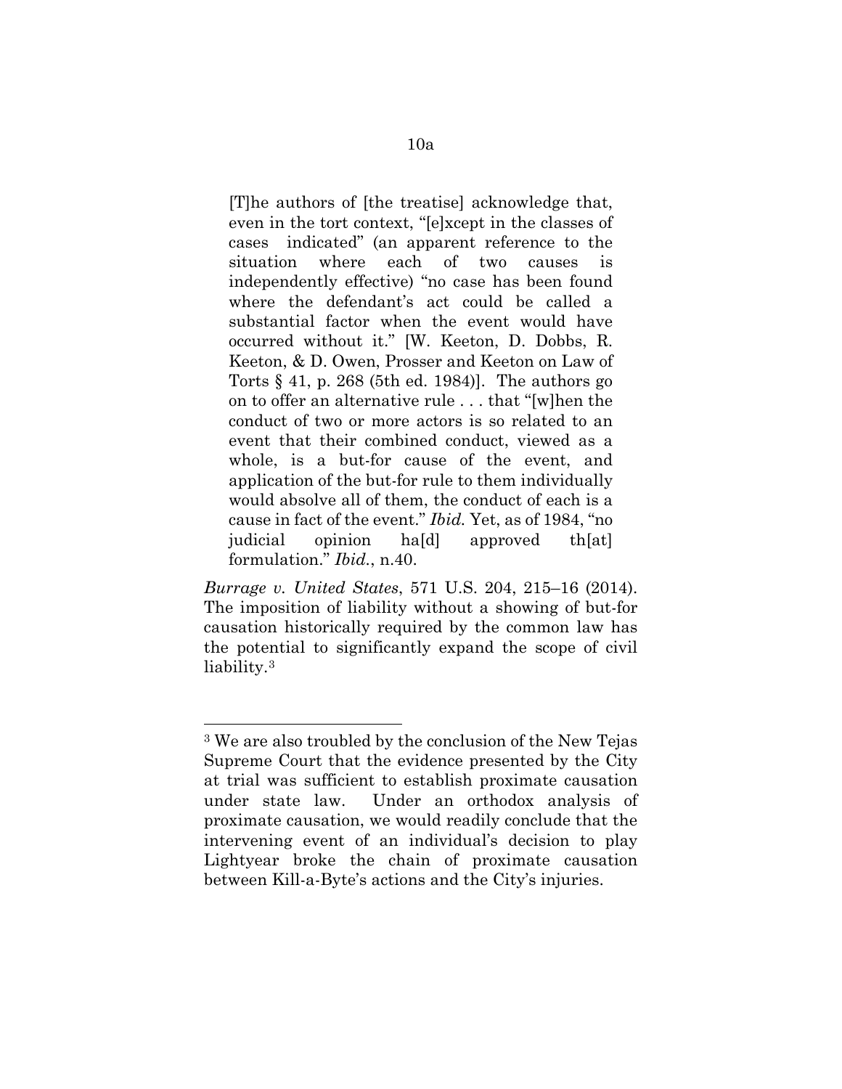[T]he authors of [the treatise] acknowledge that, even in the tort context, "[e]xcept in the classes of cases indicated" (an apparent reference to the situation where each of two causes is independently effective) "no case has been found where the defendant's act could be called a substantial factor when the event would have occurred without it." [W. Keeton, D. Dobbs, R. Keeton, & D. Owen, Prosser and Keeton on Law of Torts  $\S$  41, p. 268 (5th ed. 1984)]. The authors go on to offer an alternative rule . . . that "[w]hen the conduct of two or more actors is so related to an event that their combined conduct, viewed as a whole, is a but-for cause of the event, and application of the but-for rule to them individually would absolve all of them, the conduct of each is a cause in fact of the event." *Ibid.* Yet, as of 1984, "no judicial opinion ha[d] approved th[at] formulation." *Ibid.*, n.40.

*Burrage v. United States*, 571 U.S. 204, 215–16 (2014). The imposition of liability without a showing of but-for causation historically required by the common law has the potential to significantly expand the scope of civil liability[.3](#page-12-0) 

<span id="page-12-0"></span><sup>3</sup> We are also troubled by the conclusion of the New Tejas Supreme Court that the evidence presented by the City at trial was sufficient to establish proximate causation under state law. Under an orthodox analysis of proximate causation, we would readily conclude that the intervening event of an individual's decision to play Lightyear broke the chain of proximate causation between Kill-a-Byte's actions and the City's injuries.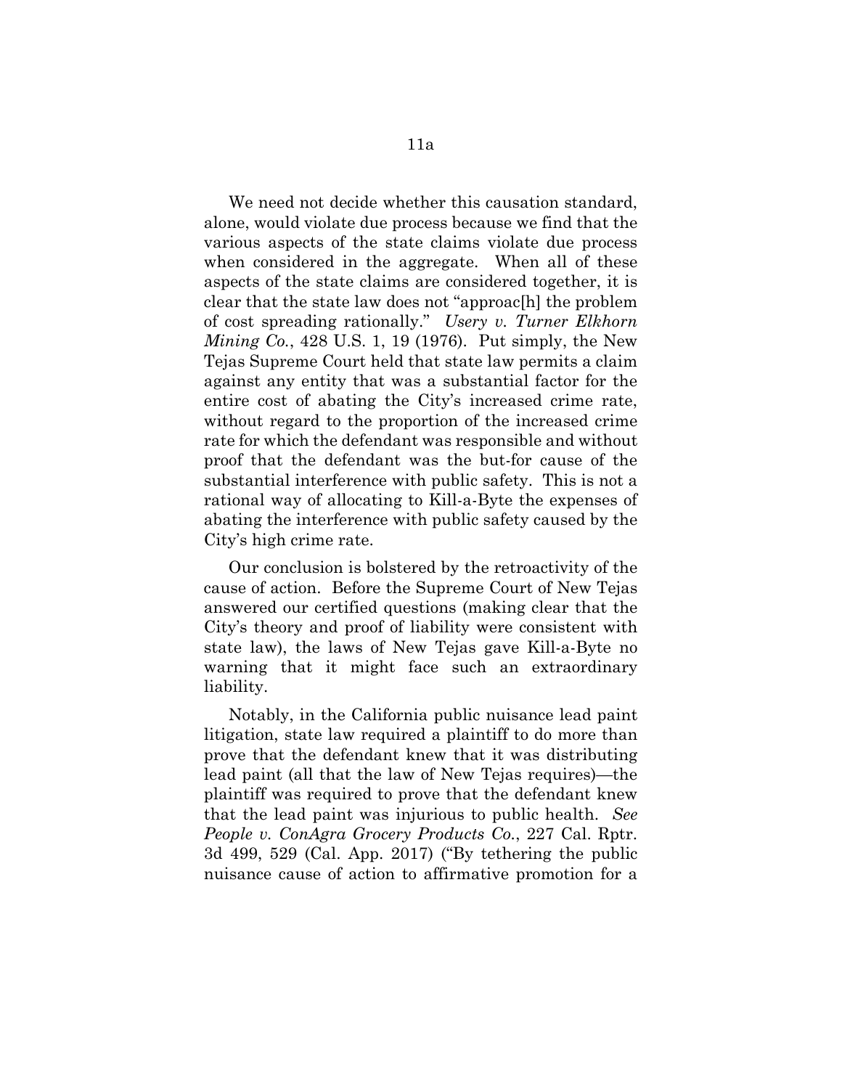We need not decide whether this causation standard, alone, would violate due process because we find that the various aspects of the state claims violate due process when considered in the aggregate. When all of these aspects of the state claims are considered together, it is clear that the state law does not "approac[h] the problem of cost spreading rationally." *Usery v. Turner Elkhorn Mining Co.*, 428 U.S. 1, 19 (1976). Put simply, the New Tejas Supreme Court held that state law permits a claim against any entity that was a substantial factor for the entire cost of abating the City's increased crime rate, without regard to the proportion of the increased crime rate for which the defendant was responsible and without proof that the defendant was the but-for cause of the substantial interference with public safety. This is not a rational way of allocating to Kill-a-Byte the expenses of abating the interference with public safety caused by the City's high crime rate.

Our conclusion is bolstered by the retroactivity of the cause of action. Before the Supreme Court of New Tejas answered our certified questions (making clear that the City's theory and proof of liability were consistent with state law), the laws of New Tejas gave Kill-a-Byte no warning that it might face such an extraordinary liability.

Notably, in the California public nuisance lead paint litigation, state law required a plaintiff to do more than prove that the defendant knew that it was distributing lead paint (all that the law of New Tejas requires)—the plaintiff was required to prove that the defendant knew that the lead paint was injurious to public health. *See People v. ConAgra Grocery Products Co.*, 227 Cal. Rptr. 3d 499, 529 (Cal. App. 2017) ("By tethering the public nuisance cause of action to affirmative promotion for a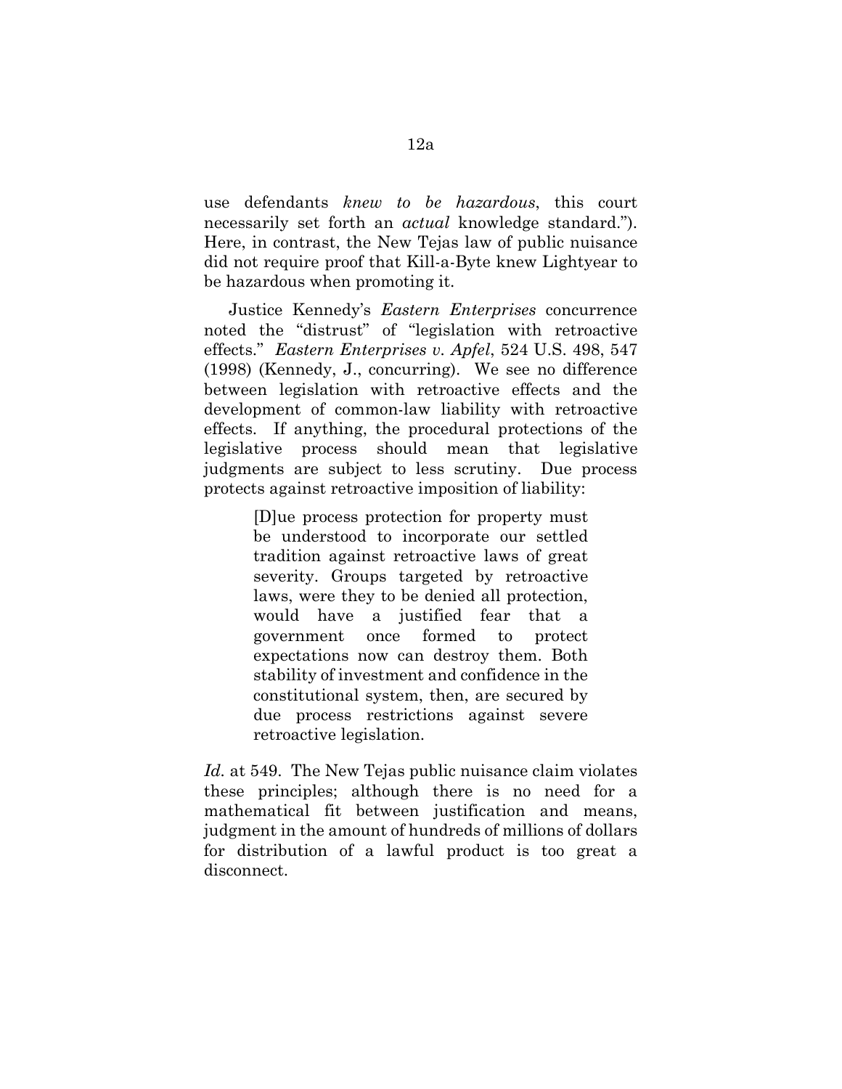use defendants *knew to be hazardous*, this court necessarily set forth an *actual* knowledge standard."). Here, in contrast, the New Tejas law of public nuisance did not require proof that Kill-a-Byte knew Lightyear to be hazardous when promoting it.

Justice Kennedy's *Eastern Enterprises* concurrence noted the "distrust" of "legislation with retroactive effects." *Eastern Enterprises v. Apfel*, 524 U.S. 498, 547 (1998) (Kennedy, J., concurring). We see no difference between legislation with retroactive effects and the development of common-law liability with retroactive effects. If anything, the procedural protections of the legislative process should mean that legislative judgments are subject to less scrutiny. Due process protects against retroactive imposition of liability:

> [D]ue process protection for property must be understood to incorporate our settled tradition against retroactive laws of great severity. Groups targeted by retroactive laws, were they to be denied all protection, would have a justified fear that a government once formed to protect expectations now can destroy them. Both stability of investment and confidence in the constitutional system, then, are secured by due process restrictions against severe retroactive legislation.

*Id.* at 549. The New Tejas public nuisance claim violates these principles; although there is no need for a mathematical fit between justification and means, judgment in the amount of hundreds of millions of dollars for distribution of a lawful product is too great a disconnect.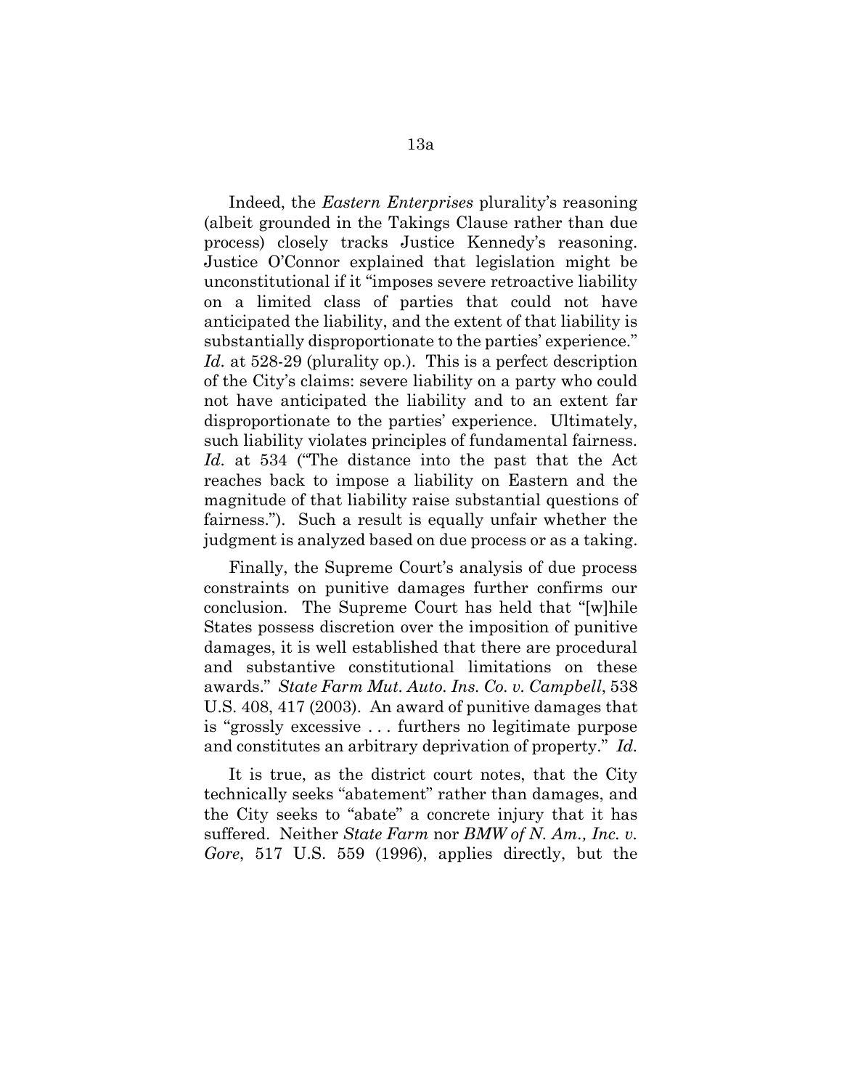Indeed, the *Eastern Enterprises* plurality's reasoning (albeit grounded in the Takings Clause rather than due process) closely tracks Justice Kennedy's reasoning. Justice O'Connor explained that legislation might be unconstitutional if it "imposes severe retroactive liability on a limited class of parties that could not have anticipated the liability, and the extent of that liability is substantially disproportionate to the parties' experience." *Id.* at 528-29 (plurality op.). This is a perfect description of the City's claims: severe liability on a party who could not have anticipated the liability and to an extent far disproportionate to the parties' experience. Ultimately, such liability violates principles of fundamental fairness. *Id.* at 534 ("The distance into the past that the Act reaches back to impose a liability on Eastern and the magnitude of that liability raise substantial questions of fairness."). Such a result is equally unfair whether the judgment is analyzed based on due process or as a taking.

Finally, the Supreme Court's analysis of due process constraints on punitive damages further confirms our conclusion. The Supreme Court has held that "[w]hile States possess discretion over the imposition of punitive damages, it is well established that there are procedural and substantive constitutional limitations on these awards." *State Farm Mut. Auto. Ins. Co. v. Campbell*, 538 U.S. 408, 417 (2003). An award of punitive damages that is "grossly excessive . . . furthers no legitimate purpose and constitutes an arbitrary deprivation of property." *Id.*

It is true, as the district court notes, that the City technically seeks "abatement" rather than damages, and the City seeks to "abate" a concrete injury that it has suffered. Neither *State Farm* nor *BMW of N. Am., Inc. v. Gore*, 517 U.S. 559 (1996), applies directly, but the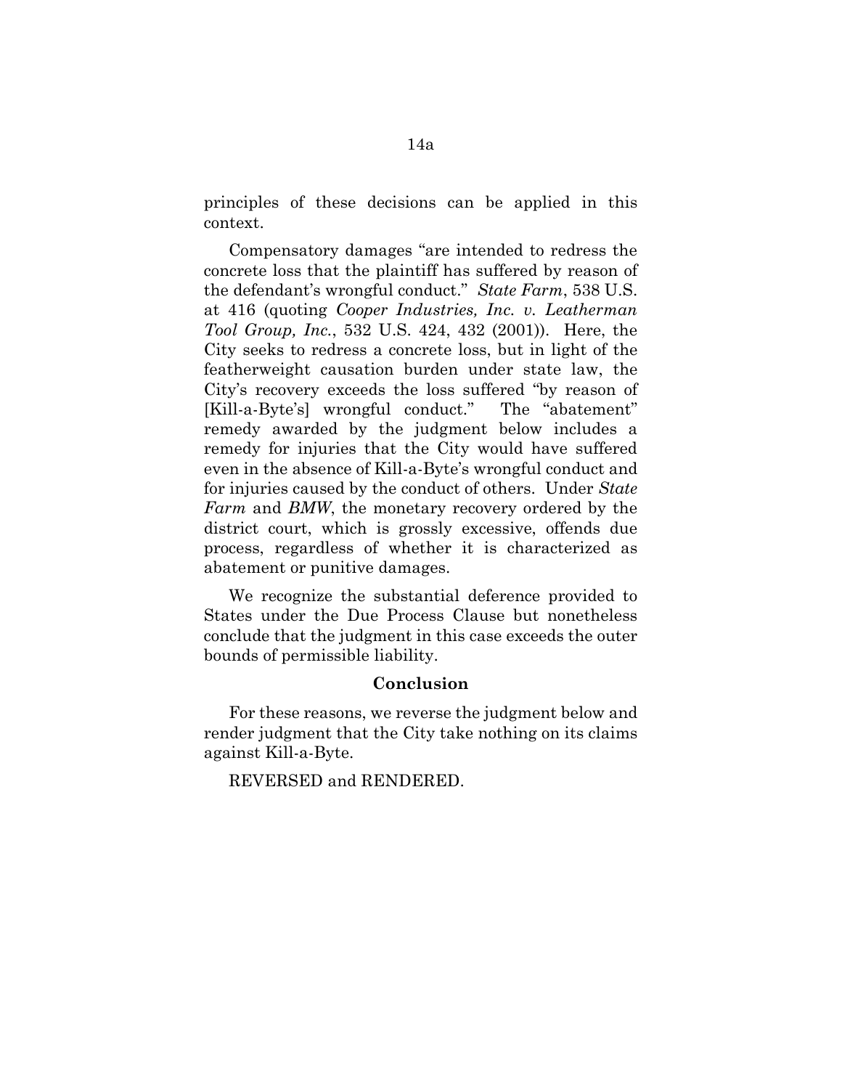principles of these decisions can be applied in this context.

Compensatory damages "are intended to redress the concrete loss that the plaintiff has suffered by reason of the defendant's wrongful conduct." *State Farm*, 538 U.S. at 416 (quoting *Cooper Industries, Inc. v. Leatherman Tool Group, Inc.*, 532 U.S. 424, 432 (2001)). Here, the City seeks to redress a concrete loss, but in light of the featherweight causation burden under state law, the City's recovery exceeds the loss suffered "by reason of [Kill-a-Byte's] wrongful conduct." The "abatement" remedy awarded by the judgment below includes a remedy for injuries that the City would have suffered even in the absence of Kill-a-Byte's wrongful conduct and for injuries caused by the conduct of others. Under *State Farm* and *BMW*, the monetary recovery ordered by the district court, which is grossly excessive, offends due process, regardless of whether it is characterized as abatement or punitive damages.

We recognize the substantial deference provided to States under the Due Process Clause but nonetheless conclude that the judgment in this case exceeds the outer bounds of permissible liability.

#### **Conclusion**

For these reasons, we reverse the judgment below and render judgment that the City take nothing on its claims against Kill-a-Byte.

REVERSED and RENDERED.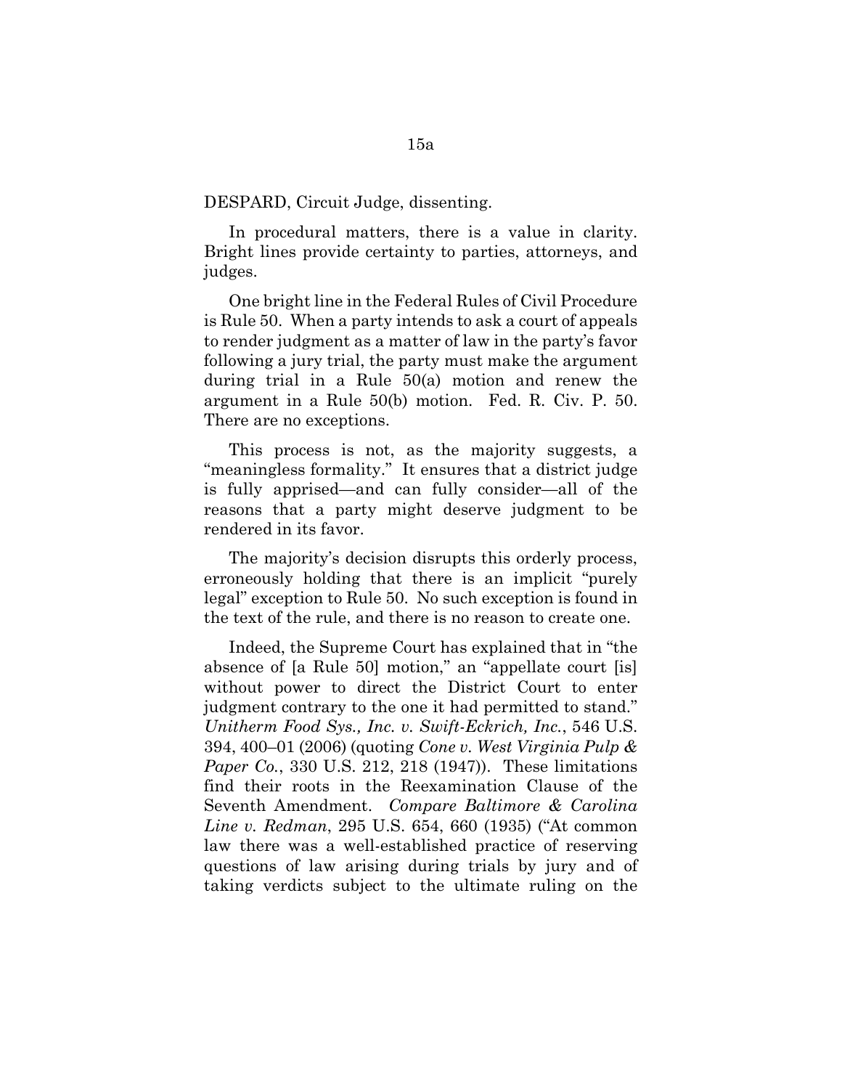DESPARD, Circuit Judge, dissenting.

In procedural matters, there is a value in clarity. Bright lines provide certainty to parties, attorneys, and judges.

One bright line in the Federal Rules of Civil Procedure is Rule 50. When a party intends to ask a court of appeals to render judgment as a matter of law in the party's favor following a jury trial, the party must make the argument during trial in a Rule 50(a) motion and renew the argument in a Rule 50(b) motion. Fed. R. Civ. P. 50. There are no exceptions.

This process is not, as the majority suggests, a "meaningless formality." It ensures that a district judge is fully apprised—and can fully consider—all of the reasons that a party might deserve judgment to be rendered in its favor.

The majority's decision disrupts this orderly process, erroneously holding that there is an implicit "purely legal" exception to Rule 50. No such exception is found in the text of the rule, and there is no reason to create one.

Indeed, the Supreme Court has explained that in "the absence of [a Rule 50] motion," an "appellate court [is] without power to direct the District Court to enter judgment contrary to the one it had permitted to stand." *Unitherm Food Sys., Inc. v. Swift-Eckrich, Inc.*, 546 U.S. 394, 400–01 (2006) (quoting *Cone v. West Virginia Pulp & Paper Co.*, 330 U.S. 212, 218 (1947)). These limitations find their roots in the Reexamination Clause of the Seventh Amendment. *Compare Baltimore & Carolina Line v. Redman*, 295 U.S. 654, 660 (1935) ("At common law there was a well-established practice of reserving questions of law arising during trials by jury and of taking verdicts subject to the ultimate ruling on the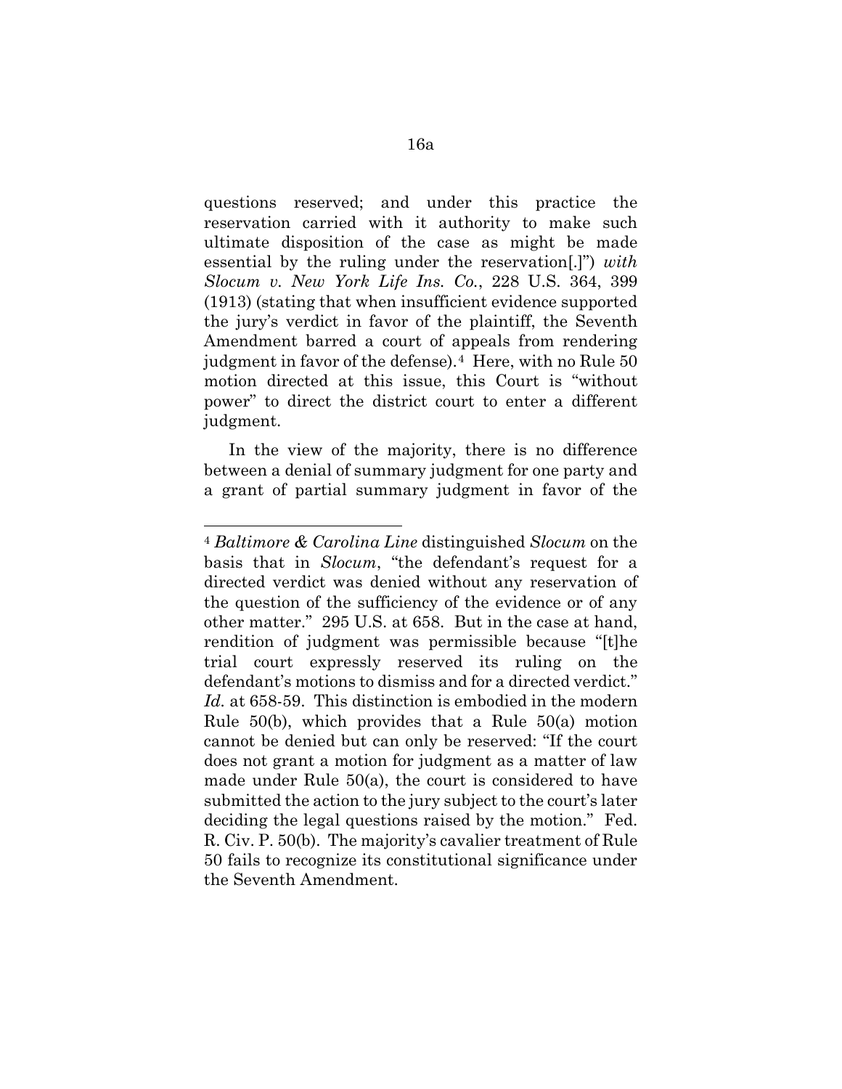questions reserved; and under this practice the reservation carried with it authority to make such ultimate disposition of the case as might be made essential by the ruling under the reservation[.]") *with Slocum v. New York Life Ins. Co.*, 228 U.S. 364, 399 (1913) (stating that when insufficient evidence supported the jury's verdict in favor of the plaintiff, the Seventh Amendment barred a court of appeals from rendering judgment in favor of the defense).<sup>4</sup> Here, with no Rule 50 motion directed at this issue, this Court is "without power" to direct the district court to enter a different judgment.

In the view of the majority, there is no difference between a denial of summary judgment for one party and a grant of partial summary judgment in favor of the

<span id="page-18-0"></span><sup>4</sup> *Baltimore & Carolina Line* distinguished *Slocum* on the basis that in *Slocum*, "the defendant's request for a directed verdict was denied without any reservation of the question of the sufficiency of the evidence or of any other matter." 295 U.S. at 658. But in the case at hand, rendition of judgment was permissible because "[t]he trial court expressly reserved its ruling on the defendant's motions to dismiss and for a directed verdict." *Id.* at 658-59. This distinction is embodied in the modern Rule 50(b), which provides that a Rule 50(a) motion cannot be denied but can only be reserved: "If the court does not grant a motion for judgment as a matter of law made under Rule 50(a), the court is considered to have submitted the action to the jury subject to the court's later deciding the legal questions raised by the motion." Fed. R. Civ. P. 50(b). The majority's cavalier treatment of Rule 50 fails to recognize its constitutional significance under the Seventh Amendment.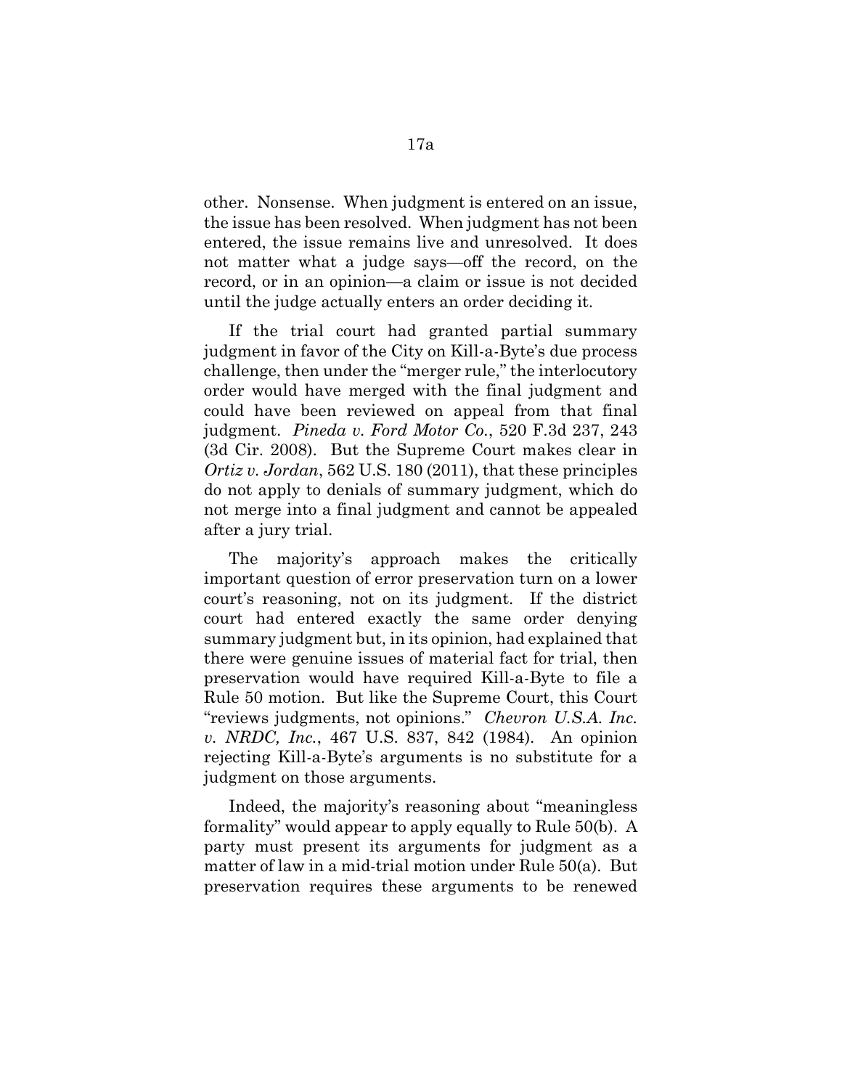other. Nonsense. When judgment is entered on an issue, the issue has been resolved. When judgment has not been entered, the issue remains live and unresolved. It does not matter what a judge says—off the record, on the record, or in an opinion—a claim or issue is not decided until the judge actually enters an order deciding it.

If the trial court had granted partial summary judgment in favor of the City on Kill-a-Byte's due process challenge, then under the "merger rule," the interlocutory order would have merged with the final judgment and could have been reviewed on appeal from that final judgment. *Pineda v. Ford Motor Co.*, 520 F.3d 237, 243 (3d Cir. 2008). But the Supreme Court makes clear in *Ortiz v. Jordan*, 562 U.S. 180 (2011), that these principles do not apply to denials of summary judgment, which do not merge into a final judgment and cannot be appealed after a jury trial.

The majority's approach makes the critically important question of error preservation turn on a lower court's reasoning, not on its judgment. If the district court had entered exactly the same order denying summary judgment but, in its opinion, had explained that there were genuine issues of material fact for trial, then preservation would have required Kill-a-Byte to file a Rule 50 motion. But like the Supreme Court, this Court "reviews judgments, not opinions." *Chevron U.S.A. Inc. v. NRDC, Inc.*, 467 U.S. 837, 842 (1984). An opinion rejecting Kill-a-Byte's arguments is no substitute for a judgment on those arguments.

Indeed, the majority's reasoning about "meaningless formality" would appear to apply equally to Rule 50(b). A party must present its arguments for judgment as a matter of law in a mid-trial motion under Rule 50(a). But preservation requires these arguments to be renewed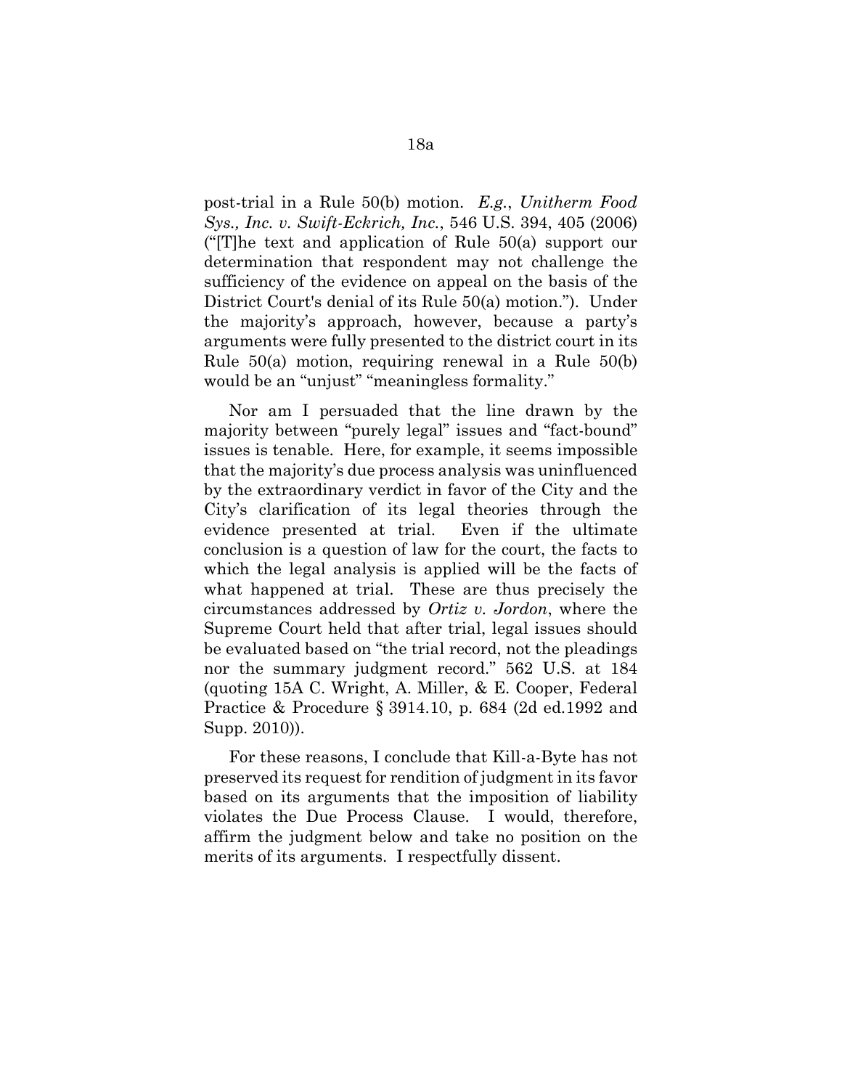post-trial in a Rule 50(b) motion. *E.g.*, *Unitherm Food Sys., Inc. v. Swift-Eckrich, Inc.*, 546 U.S. 394, 405 (2006) ("[T]he text and application of Rule 50(a) support our determination that respondent may not challenge the sufficiency of the evidence on appeal on the basis of the District Court's denial of its Rule 50(a) motion."). Under the majority's approach, however, because a party's arguments were fully presented to the district court in its Rule 50(a) motion, requiring renewal in a Rule 50(b) would be an "unjust" "meaningless formality."

Nor am I persuaded that the line drawn by the majority between "purely legal" issues and "fact-bound" issues is tenable. Here, for example, it seems impossible that the majority's due process analysis was uninfluenced by the extraordinary verdict in favor of the City and the City's clarification of its legal theories through the evidence presented at trial. Even if the ultimate conclusion is a question of law for the court, the facts to which the legal analysis is applied will be the facts of what happened at trial. These are thus precisely the circumstances addressed by *Ortiz v. Jordon*, where the Supreme Court held that after trial, legal issues should be evaluated based on "the trial record, not the pleadings nor the summary judgment record." 562 U.S. at 184 (quoting 15A C. Wright, A. Miller, & E. Cooper, Federal Practice & Procedure § 3914.10, p. 684 (2d ed.1992 and Supp. 2010)).

For these reasons, I conclude that Kill-a-Byte has not preserved its request for rendition of judgment in its favor based on its arguments that the imposition of liability violates the Due Process Clause. I would, therefore, affirm the judgment below and take no position on the merits of its arguments. I respectfully dissent.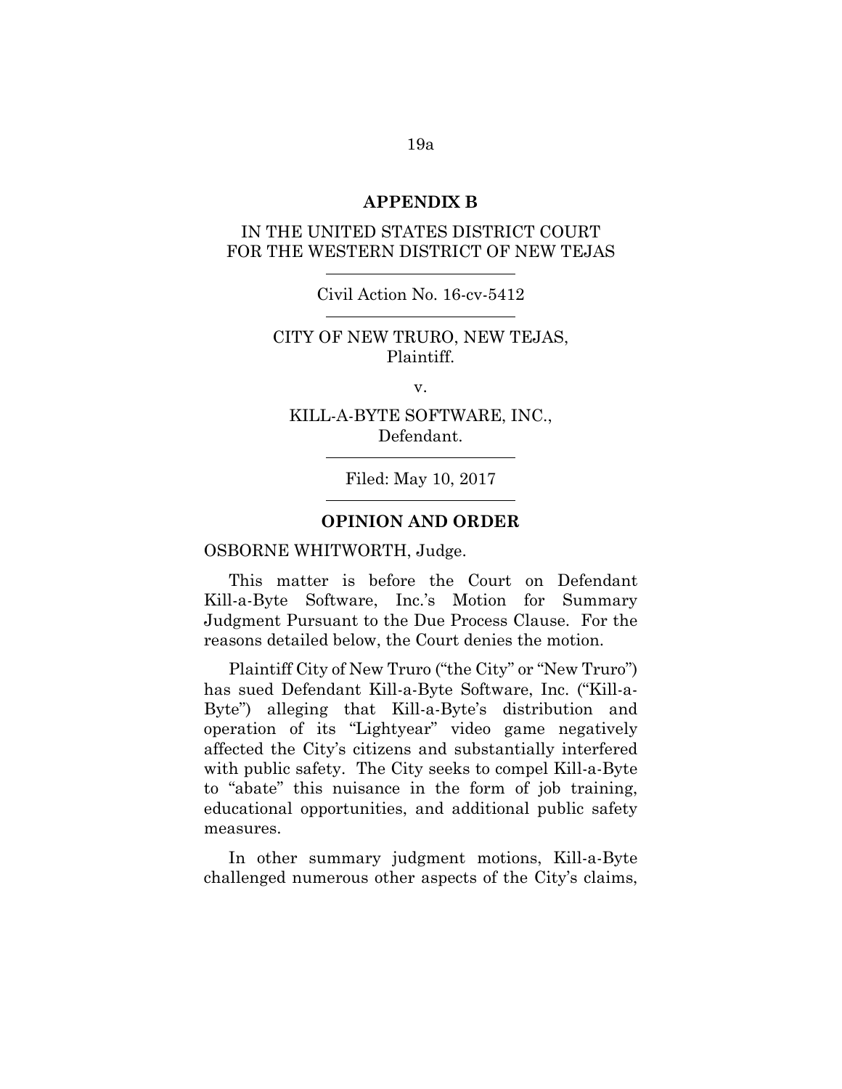#### **APPENDIX B**

## IN THE UNITED STATES DISTRICT COURT FOR THE WESTERN DISTRICT OF NEW TEJAS

#### Civil Action No. 16-cv-5412

### CITY OF NEW TRURO, NEW TEJAS, Plaintiff.

v.

KILL-A-BYTE SOFTWARE, INC., Defendant.

Filed: May 10, 2017

### **OPINION AND ORDER**

#### OSBORNE WHITWORTH, Judge.

This matter is before the Court on Defendant Kill-a-Byte Software, Inc.'s Motion for Summary Judgment Pursuant to the Due Process Clause. For the reasons detailed below, the Court denies the motion.

Plaintiff City of New Truro ("the City" or "New Truro") has sued Defendant Kill-a-Byte Software, Inc. ("Kill-a-Byte") alleging that Kill-a-Byte's distribution and operation of its "Lightyear" video game negatively affected the City's citizens and substantially interfered with public safety. The City seeks to compel Kill-a-Byte to "abate" this nuisance in the form of job training, educational opportunities, and additional public safety measures.

In other summary judgment motions, Kill-a-Byte challenged numerous other aspects of the City's claims,

19a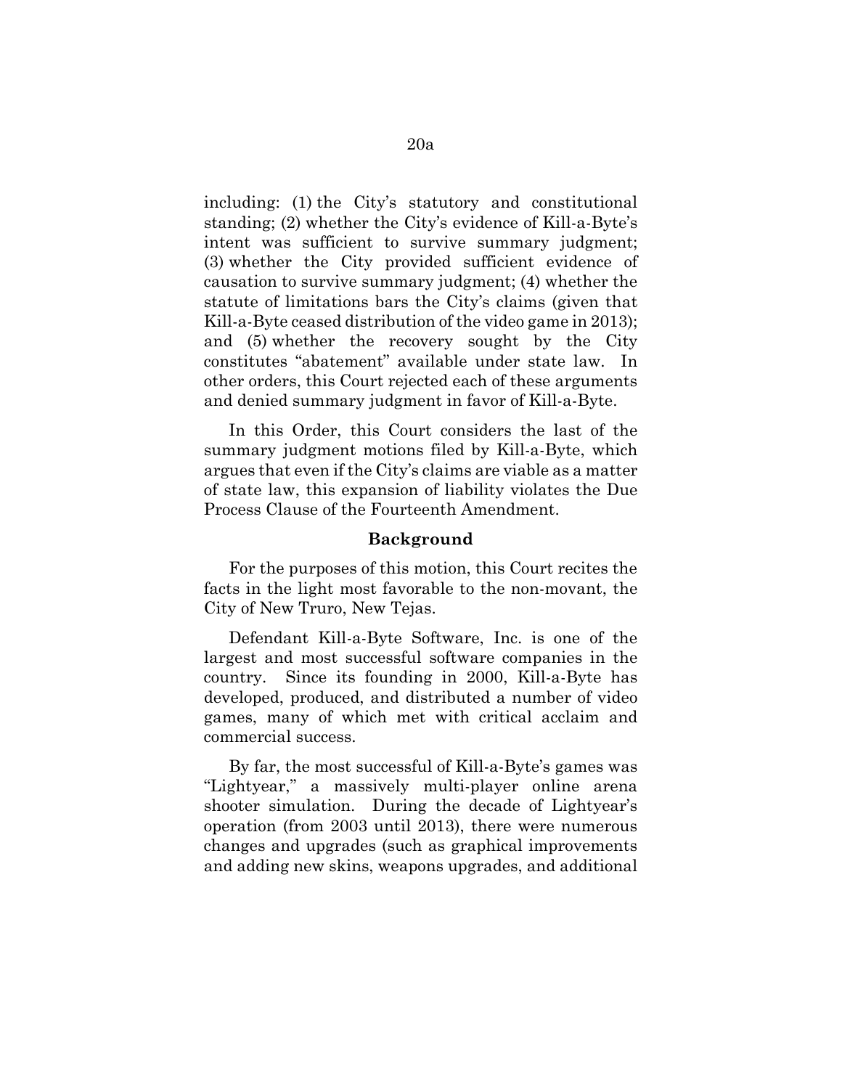including: (1) the City's statutory and constitutional standing; (2) whether the City's evidence of Kill-a-Byte's intent was sufficient to survive summary judgment; (3) whether the City provided sufficient evidence of causation to survive summary judgment; (4) whether the statute of limitations bars the City's claims (given that Kill-a-Byte ceased distribution of the video game in 2013); and (5) whether the recovery sought by the City constitutes "abatement" available under state law. In other orders, this Court rejected each of these arguments and denied summary judgment in favor of Kill-a-Byte.

In this Order, this Court considers the last of the summary judgment motions filed by Kill-a-Byte, which argues that even if the City's claims are viable as a matter of state law, this expansion of liability violates the Due Process Clause of the Fourteenth Amendment.

#### **Background**

For the purposes of this motion, this Court recites the facts in the light most favorable to the non-movant, the City of New Truro, New Tejas.

Defendant Kill-a-Byte Software, Inc. is one of the largest and most successful software companies in the country. Since its founding in 2000, Kill-a-Byte has developed, produced, and distributed a number of video games, many of which met with critical acclaim and commercial success.

By far, the most successful of Kill-a-Byte's games was "Lightyear," a massively multi-player online arena shooter simulation. During the decade of Lightyear's operation (from 2003 until 2013), there were numerous changes and upgrades (such as graphical improvements and adding new skins, weapons upgrades, and additional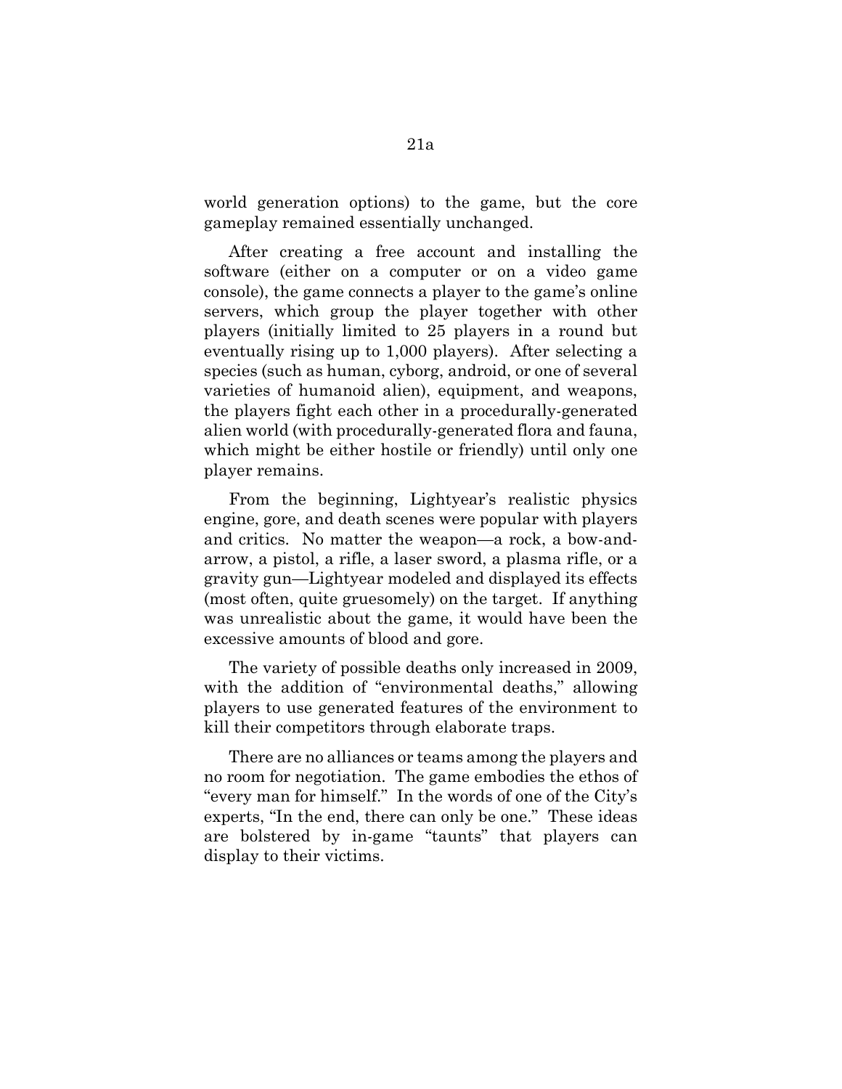world generation options) to the game, but the core gameplay remained essentially unchanged.

After creating a free account and installing the software (either on a computer or on a video game console), the game connects a player to the game's online servers, which group the player together with other players (initially limited to 25 players in a round but eventually rising up to 1,000 players). After selecting a species (such as human, cyborg, android, or one of several varieties of humanoid alien), equipment, and weapons, the players fight each other in a procedurally-generated alien world (with procedurally-generated flora and fauna, which might be either hostile or friendly) until only one player remains.

From the beginning, Lightyear's realistic physics engine, gore, and death scenes were popular with players and critics. No matter the weapon—a rock, a bow-andarrow, a pistol, a rifle, a laser sword, a plasma rifle, or a gravity gun—Lightyear modeled and displayed its effects (most often, quite gruesomely) on the target. If anything was unrealistic about the game, it would have been the excessive amounts of blood and gore.

The variety of possible deaths only increased in 2009, with the addition of "environmental deaths," allowing players to use generated features of the environment to kill their competitors through elaborate traps.

There are no alliances or teams among the players and no room for negotiation. The game embodies the ethos of "every man for himself." In the words of one of the City's experts, "In the end, there can only be one." These ideas are bolstered by in-game "taunts" that players can display to their victims.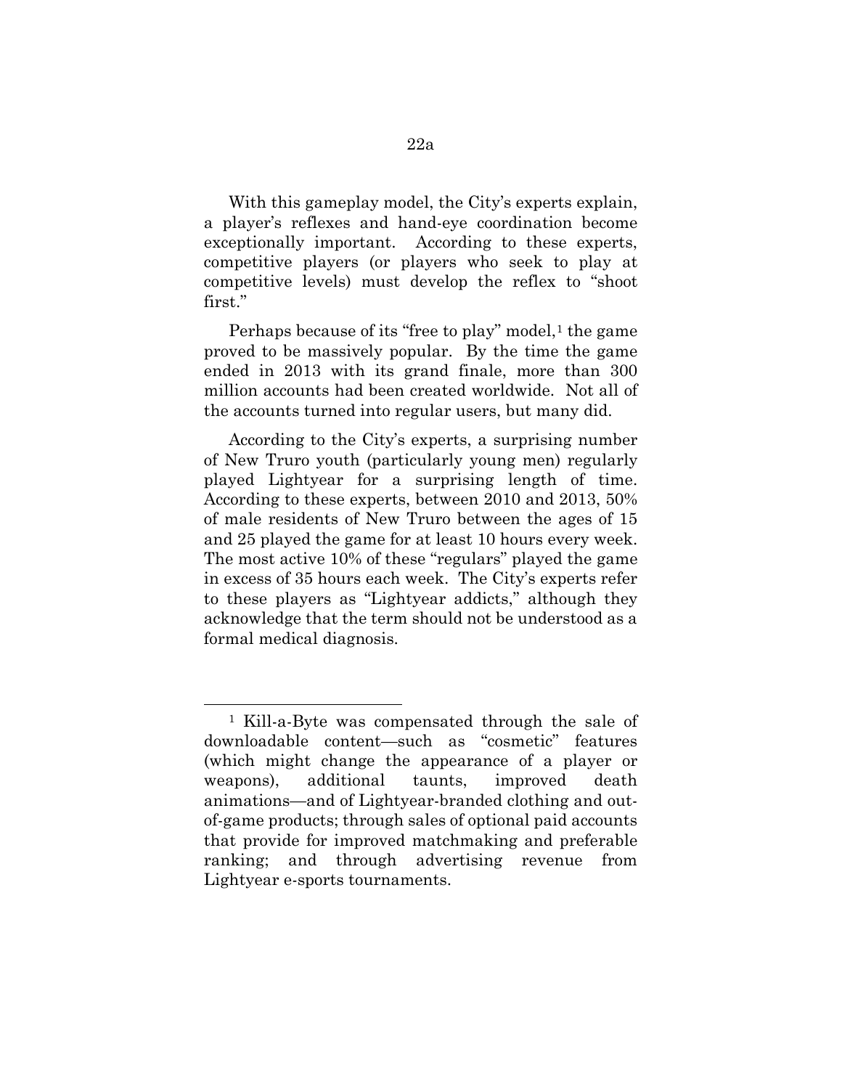With this gameplay model, the City's experts explain, a player's reflexes and hand-eye coordination become exceptionally important. According to these experts, competitive players (or players who seek to play at competitive levels) must develop the reflex to "shoot first."

Perhaps because of its "free to play" model, $<sup>1</sup>$  $<sup>1</sup>$  $<sup>1</sup>$  the game</sup> proved to be massively popular. By the time the game ended in 2013 with its grand finale, more than 300 million accounts had been created worldwide. Not all of the accounts turned into regular users, but many did.

According to the City's experts, a surprising number of New Truro youth (particularly young men) regularly played Lightyear for a surprising length of time. According to these experts, between 2010 and 2013, 50% of male residents of New Truro between the ages of 15 and 25 played the game for at least 10 hours every week. The most active 10% of these "regulars" played the game in excess of 35 hours each week. The City's experts refer to these players as "Lightyear addicts," although they acknowledge that the term should not be understood as a formal medical diagnosis.

<span id="page-24-0"></span><sup>1</sup> Kill-a-Byte was compensated through the sale of downloadable content—such as "cosmetic" features (which might change the appearance of a player or weapons), additional taunts, improved death animations—and of Lightyear-branded clothing and outof-game products; through sales of optional paid accounts that provide for improved matchmaking and preferable ranking; and through advertising revenue from Lightyear e-sports tournaments.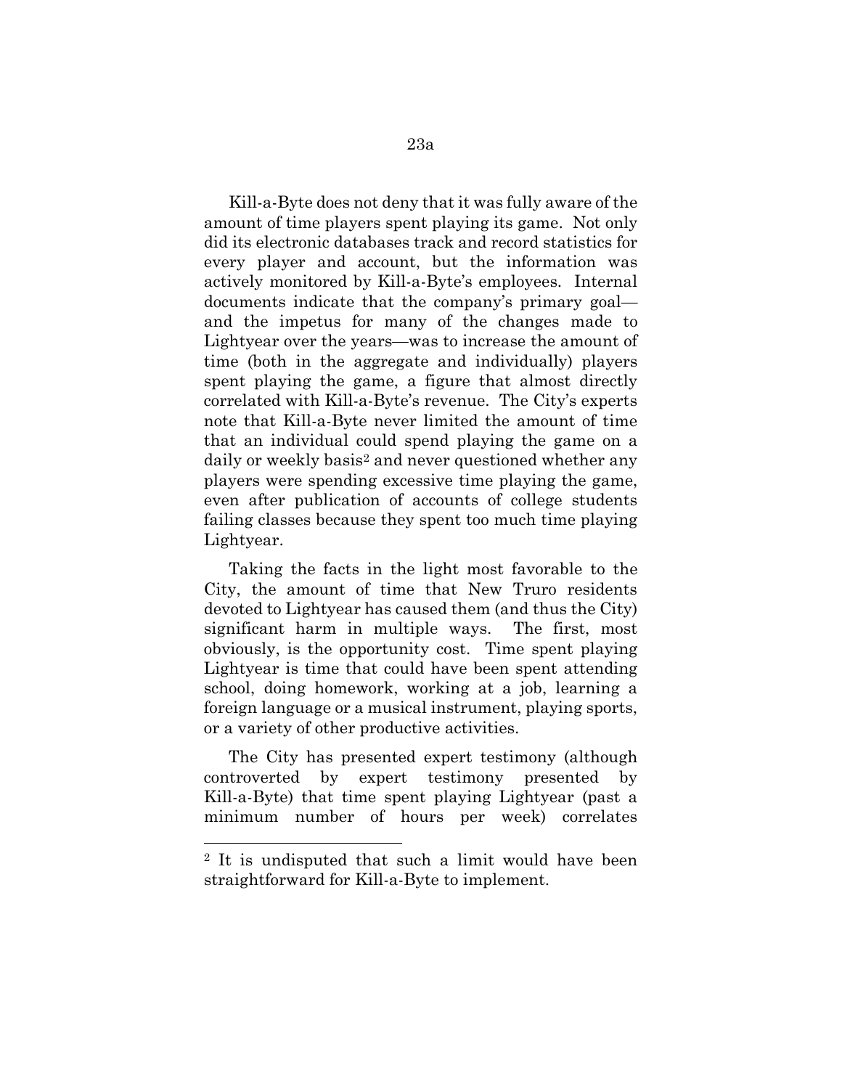Kill-a-Byte does not deny that it was fully aware of the amount of time players spent playing its game. Not only did its electronic databases track and record statistics for every player and account, but the information was actively monitored by Kill-a-Byte's employees. Internal documents indicate that the company's primary goal and the impetus for many of the changes made to Lightyear over the years—was to increase the amount of time (both in the aggregate and individually) players spent playing the game, a figure that almost directly correlated with Kill-a-Byte's revenue. The City's experts note that Kill-a-Byte never limited the amount of time that an individual could spend playing the game on a daily or weekly basis<sup>2</sup> and never questioned whether any players were spending excessive time playing the game, even after publication of accounts of college students failing classes because they spent too much time playing Lightyear.

Taking the facts in the light most favorable to the City, the amount of time that New Truro residents devoted to Lightyear has caused them (and thus the City) significant harm in multiple ways. The first, most obviously, is the opportunity cost. Time spent playing Lightyear is time that could have been spent attending school, doing homework, working at a job, learning a foreign language or a musical instrument, playing sports, or a variety of other productive activities.

The City has presented expert testimony (although controverted by expert testimony presented by Kill-a-Byte) that time spent playing Lightyear (past a minimum number of hours per week) correlates

<span id="page-25-0"></span><sup>2</sup> It is undisputed that such a limit would have been straightforward for Kill-a-Byte to implement.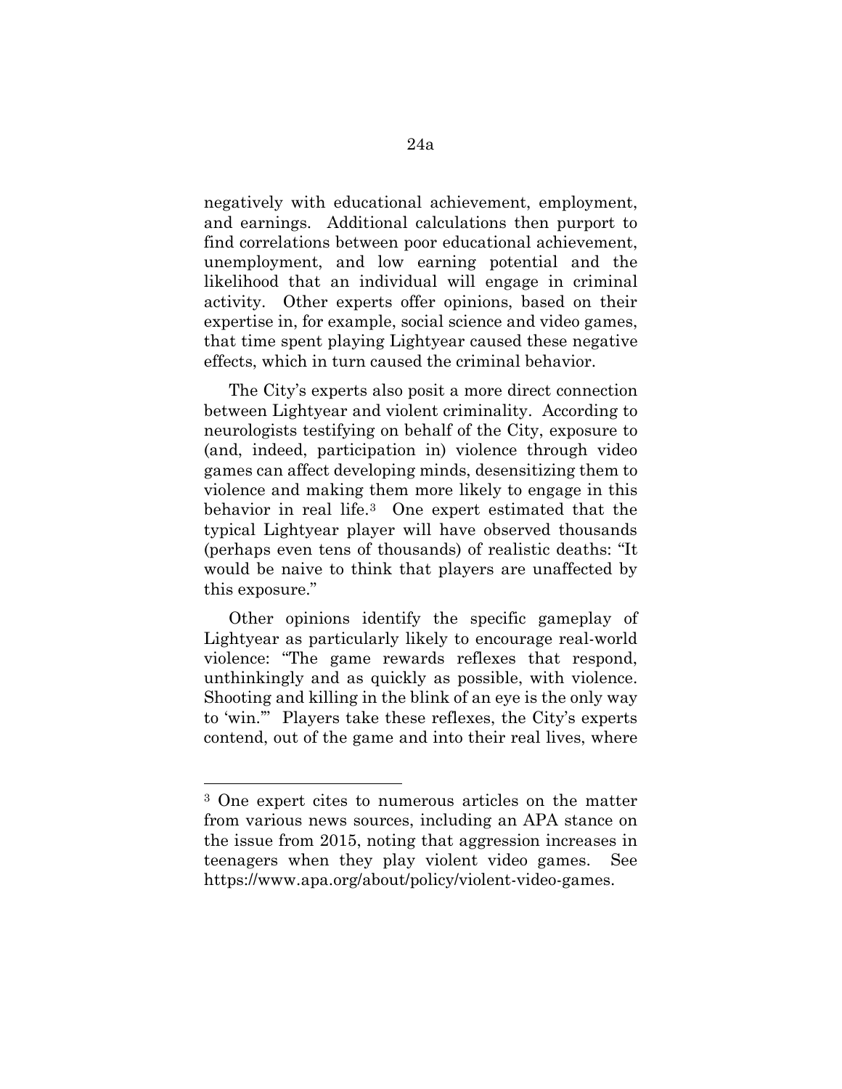negatively with educational achievement, employment, and earnings. Additional calculations then purport to find correlations between poor educational achievement, unemployment, and low earning potential and the likelihood that an individual will engage in criminal activity. Other experts offer opinions, based on their expertise in, for example, social science and video games, that time spent playing Lightyear caused these negative effects, which in turn caused the criminal behavior.

The City's experts also posit a more direct connection between Lightyear and violent criminality. According to neurologists testifying on behalf of the City, exposure to (and, indeed, participation in) violence through video games can affect developing minds, desensitizing them to violence and making them more likely to engage in this behavior in real life.[3](#page-26-0) One expert estimated that the typical Lightyear player will have observed thousands (perhaps even tens of thousands) of realistic deaths: "It would be naive to think that players are unaffected by this exposure."

Other opinions identify the specific gameplay of Lightyear as particularly likely to encourage real-world violence: "The game rewards reflexes that respond, unthinkingly and as quickly as possible, with violence. Shooting and killing in the blink of an eye is the only way to 'win.'" Players take these reflexes, the City's experts contend, out of the game and into their real lives, where

<span id="page-26-0"></span><sup>3</sup> One expert cites to numerous articles on the matter from various news sources, including an APA stance on the issue from 2015, noting that aggression increases in teenagers when they play violent video games. See [https://www.apa.org/about/policy/violent-video-games.](https://www.apa.org/about/policy/violent-video-games)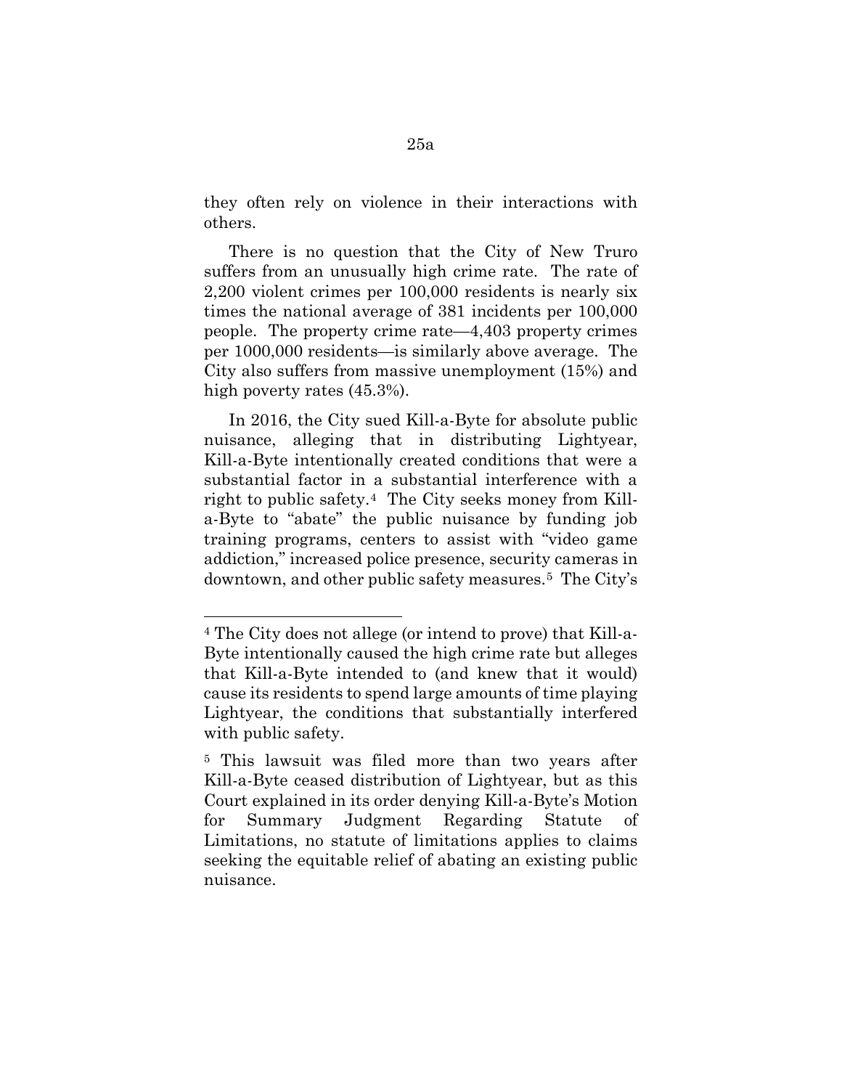they often rely on violence in their interactions with others.

There is no question that the City of New Truro suffers from an unusually high crime rate. The rate of 2,200 violent crimes per 100,000 residents is nearly six times the national average of 381 incidents per 100,000 people. The property crime rate—4,403 property crimes per 1000,000 residents—is similarly above average. The City also suffers from massive unemployment (15%) and high poverty rates (45.3%).

In 2016, the City sued Kill-a-Byte for absolute public nuisance, alleging that in distributing Lightyear, Kill-a-Byte intentionally created conditions that were a substantial factor in a substantial interference with a right to public safety[.4](#page-27-0) The City seeks money from Killa-Byte to "abate" the public nuisance by funding job training programs, centers to assist with "video game addiction," increased police presence, security cameras in downtown, and other public safety measures.[5](#page-27-1) The City's

<span id="page-27-0"></span><sup>4</sup> The City does not allege (or intend to prove) that Kill-a-Byte intentionally caused the high crime rate but alleges that Kill-a-Byte intended to (and knew that it would) cause its residents to spend large amounts of time playing Lightyear, the conditions that substantially interfered with public safety.

<span id="page-27-1"></span><sup>5</sup> This lawsuit was filed more than two years after Kill-a-Byte ceased distribution of Lightyear, but as this Court explained in its order denying Kill-a-Byte's Motion for Summary Judgment Regarding Statute of Limitations, no statute of limitations applies to claims seeking the equitable relief of abating an existing public nuisance.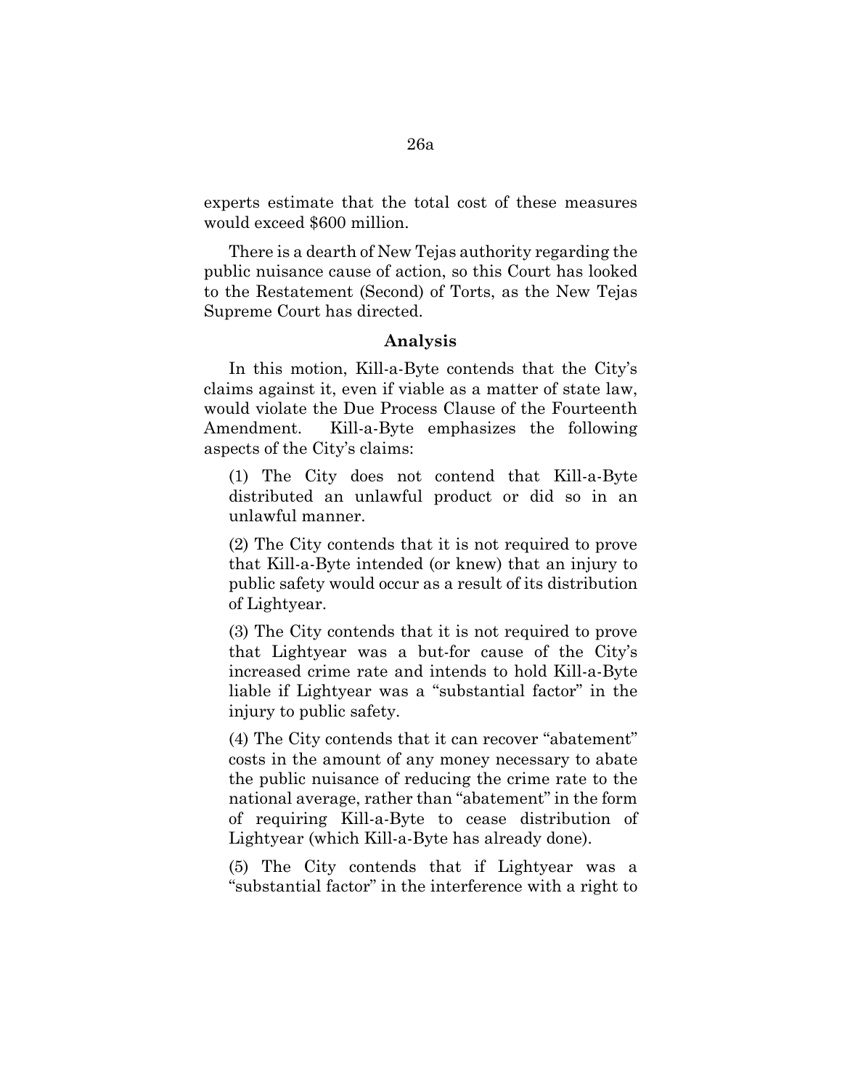experts estimate that the total cost of these measures would exceed \$600 million.

There is a dearth of New Tejas authority regarding the public nuisance cause of action, so this Court has looked to the Restatement (Second) of Torts, as the New Tejas Supreme Court has directed.

### **Analysis**

In this motion, Kill-a-Byte contends that the City's claims against it, even if viable as a matter of state law, would violate the Due Process Clause of the Fourteenth Amendment. Kill-a-Byte emphasizes the following aspects of the City's claims:

(1) The City does not contend that Kill-a-Byte distributed an unlawful product or did so in an unlawful manner.

(2) The City contends that it is not required to prove that Kill-a-Byte intended (or knew) that an injury to public safety would occur as a result of its distribution of Lightyear.

(3) The City contends that it is not required to prove that Lightyear was a but-for cause of the City's increased crime rate and intends to hold Kill-a-Byte liable if Lightyear was a "substantial factor" in the injury to public safety.

(4) The City contends that it can recover "abatement" costs in the amount of any money necessary to abate the public nuisance of reducing the crime rate to the national average, rather than "abatement" in the form of requiring Kill-a-Byte to cease distribution of Lightyear (which Kill-a-Byte has already done).

(5) The City contends that if Lightyear was a "substantial factor" in the interference with a right to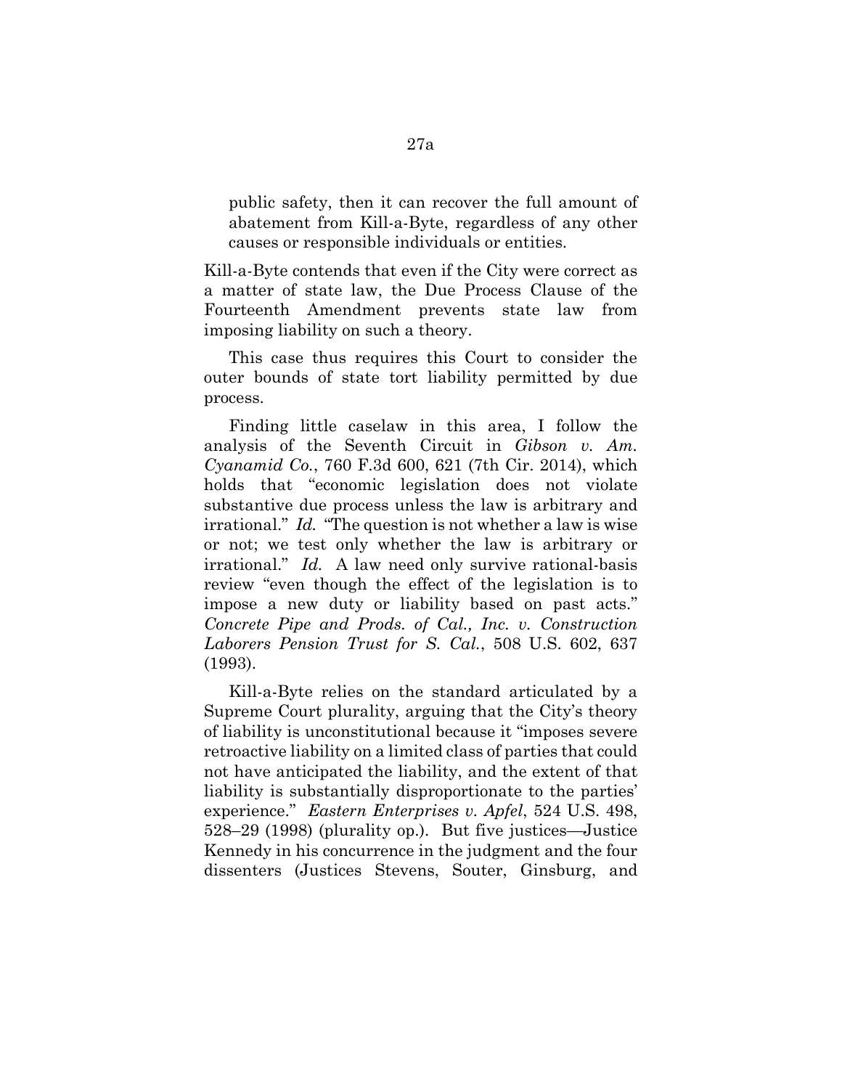public safety, then it can recover the full amount of abatement from Kill-a-Byte, regardless of any other causes or responsible individuals or entities.

Kill-a-Byte contends that even if the City were correct as a matter of state law, the Due Process Clause of the Fourteenth Amendment prevents state law from imposing liability on such a theory.

This case thus requires this Court to consider the outer bounds of state tort liability permitted by due process.

Finding little caselaw in this area, I follow the analysis of the Seventh Circuit in *Gibson v. Am. Cyanamid Co.*, 760 F.3d 600, 621 (7th Cir. 2014), which holds that "economic legislation does not violate substantive due process unless the law is arbitrary and irrational." *Id.* "The question is not whether a law is wise or not; we test only whether the law is arbitrary or irrational." *Id.* A law need only survive rational-basis review "even though the effect of the legislation is to impose a new duty or liability based on past acts." *Concrete Pipe and Prods. of Cal., Inc. v. Construction Laborers Pension Trust for S. Cal.*, 508 U.S. 602, 637 (1993).

Kill-a-Byte relies on the standard articulated by a Supreme Court plurality, arguing that the City's theory of liability is unconstitutional because it "imposes severe retroactive liability on a limited class of parties that could not have anticipated the liability, and the extent of that liability is substantially disproportionate to the parties' experience." *Eastern Enterprises v. Apfel*, 524 U.S. 498, 528–29 (1998) (plurality op.). But five justices—Justice Kennedy in his concurrence in the judgment and the four dissenters (Justices Stevens, Souter, Ginsburg, and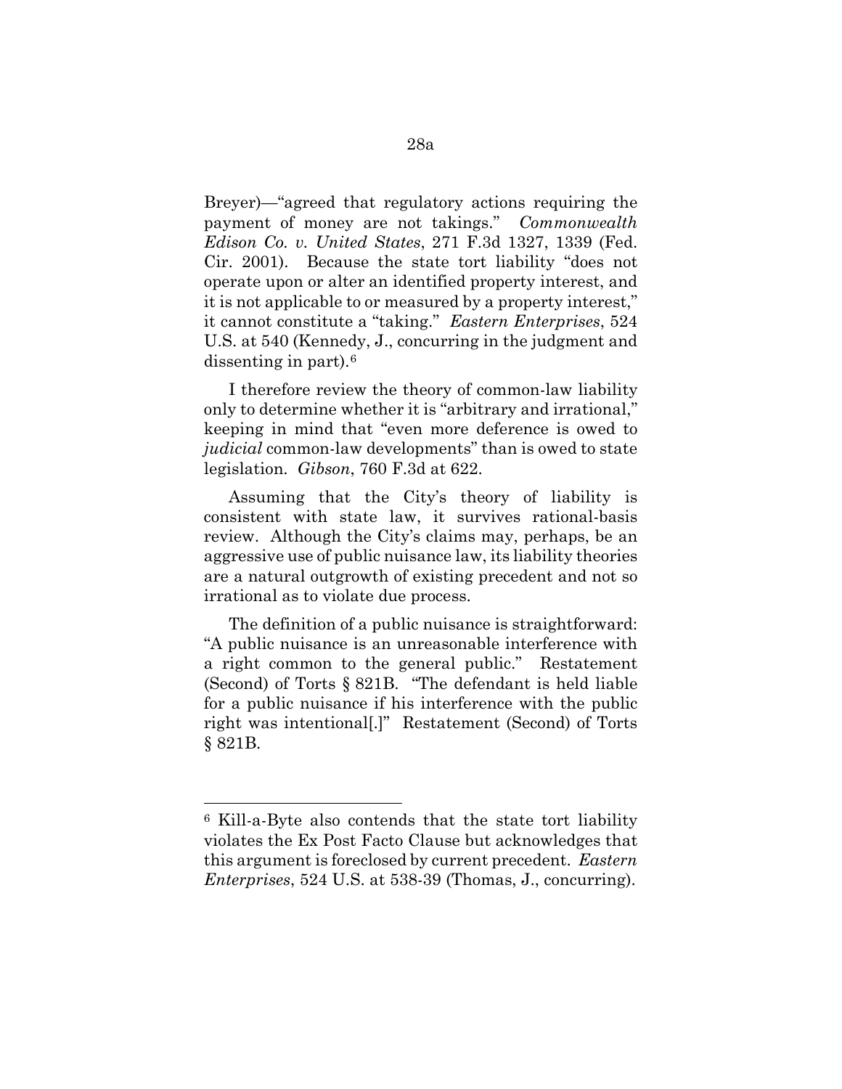Breyer)—"agreed that regulatory actions requiring the payment of money are not takings." *Commonwealth Edison Co. v. United States*, 271 F.3d 1327, 1339 (Fed. Cir. 2001). Because the state tort liability "does not operate upon or alter an identified property interest, and it is not applicable to or measured by a property interest," it cannot constitute a "taking." *Eastern Enterprises*, 524 U.S. at 540 (Kennedy, J., concurring in the judgment and dissenting in part).[6](#page-30-0)

I therefore review the theory of common-law liability only to determine whether it is "arbitrary and irrational," keeping in mind that "even more deference is owed to *judicial* common-law developments" than is owed to state legislation. *Gibson*, 760 F.3d at 622.

Assuming that the City's theory of liability is consistent with state law, it survives rational-basis review. Although the City's claims may, perhaps, be an aggressive use of public nuisance law, its liability theories are a natural outgrowth of existing precedent and not so irrational as to violate due process.

The definition of a public nuisance is straightforward: "A public nuisance is an unreasonable interference with a right common to the general public." Restatement (Second) of Torts § 821B. "The defendant is held liable for a public nuisance if his interference with the public right was intentional[.]" Restatement (Second) of Torts § 821B.

<span id="page-30-0"></span><sup>6</sup> Kill-a-Byte also contends that the state tort liability violates the Ex Post Facto Clause but acknowledges that this argument is foreclosed by current precedent. *Eastern Enterprises*, 524 U.S. at 538-39 (Thomas, J., concurring).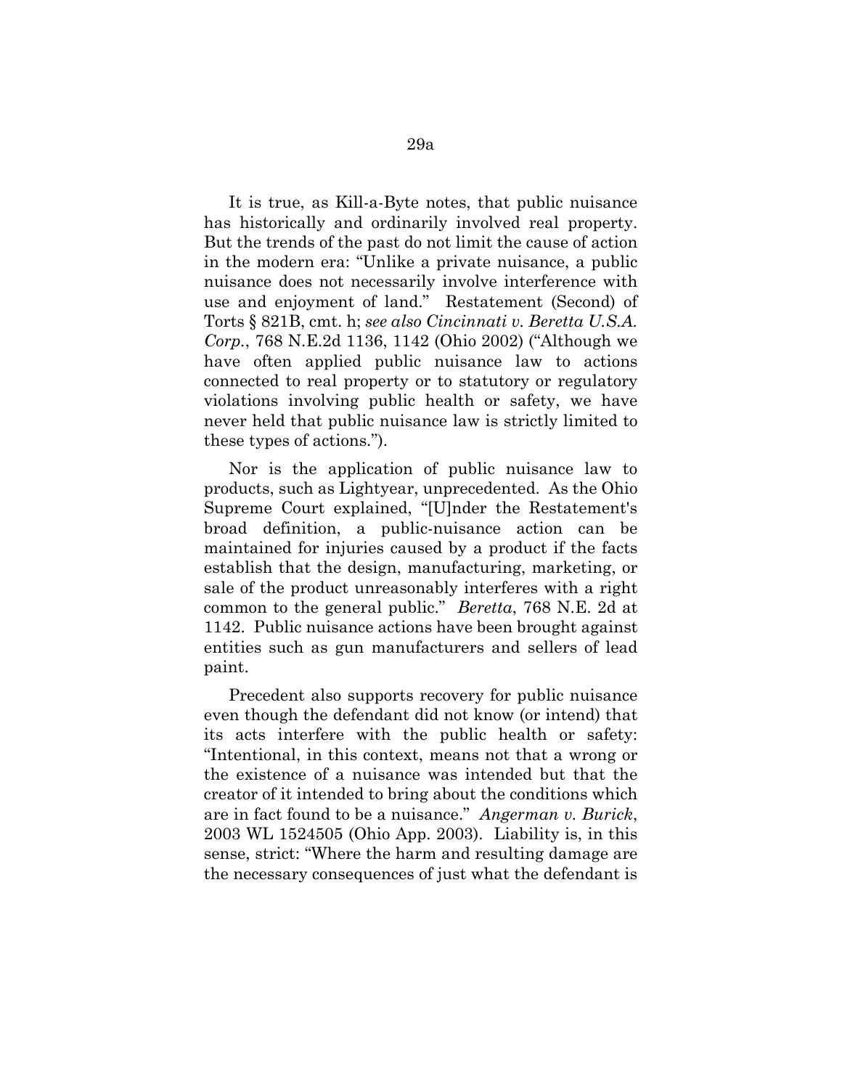It is true, as Kill-a-Byte notes, that public nuisance has historically and ordinarily involved real property. But the trends of the past do not limit the cause of action in the modern era: "Unlike a private nuisance, a public nuisance does not necessarily involve interference with use and enjoyment of land." Restatement (Second) of Torts § 821B, cmt. h; *see also Cincinnati v. Beretta U.S.A. Corp.*, 768 N.E.2d 1136, 1142 (Ohio 2002) ("Although we have often applied public nuisance law to actions connected to real property or to statutory or regulatory violations involving public health or safety, we have never held that public nuisance law is strictly limited to these types of actions.").

Nor is the application of public nuisance law to products, such as Lightyear, unprecedented. As the Ohio Supreme Court explained, "[U]nder the Restatement's broad definition, a public-nuisance action can be maintained for injuries caused by a product if the facts establish that the design, manufacturing, marketing, or sale of the product unreasonably interferes with a right common to the general public." *Beretta*, 768 N.E. 2d at 1142. Public nuisance actions have been brought against entities such as gun manufacturers and sellers of lead paint.

Precedent also supports recovery for public nuisance even though the defendant did not know (or intend) that its acts interfere with the public health or safety: "Intentional, in this context, means not that a wrong or the existence of a nuisance was intended but that the creator of it intended to bring about the conditions which are in fact found to be a nuisance." *Angerman v. Burick*, 2003 WL 1524505 (Ohio App. 2003). Liability is, in this sense, strict: "Where the harm and resulting damage are the necessary consequences of just what the defendant is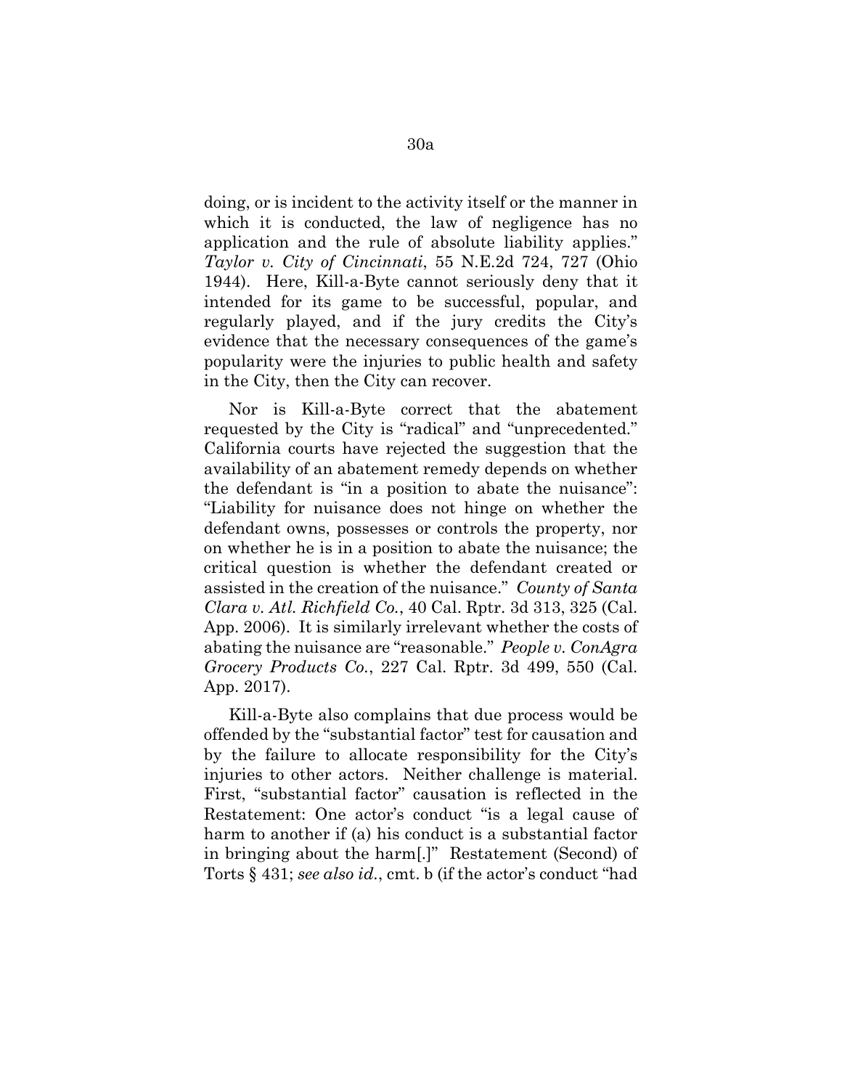doing, or is incident to the activity itself or the manner in which it is conducted, the law of negligence has no application and the rule of absolute liability applies." *Taylor v. City of Cincinnati*, 55 N.E.2d 724, 727 (Ohio 1944). Here, Kill-a-Byte cannot seriously deny that it intended for its game to be successful, popular, and regularly played, and if the jury credits the City's evidence that the necessary consequences of the game's popularity were the injuries to public health and safety in the City, then the City can recover.

Nor is Kill-a-Byte correct that the abatement requested by the City is "radical" and "unprecedented." California courts have rejected the suggestion that the availability of an abatement remedy depends on whether the defendant is "in a position to abate the nuisance": "Liability for nuisance does not hinge on whether the defendant owns, possesses or controls the property, nor on whether he is in a position to abate the nuisance; the critical question is whether the defendant created or assisted in the creation of the nuisance." *County of Santa Clara v. Atl. Richfield Co.*, 40 Cal. Rptr. 3d 313, 325 (Cal. App. 2006). It is similarly irrelevant whether the costs of abating the nuisance are "reasonable." *People v. ConAgra Grocery Products Co.*, 227 Cal. Rptr. 3d 499, 550 (Cal. App. 2017).

Kill-a-Byte also complains that due process would be offended by the "substantial factor" test for causation and by the failure to allocate responsibility for the City's injuries to other actors. Neither challenge is material. First, "substantial factor" causation is reflected in the Restatement: One actor's conduct "is a legal cause of harm to another if (a) his conduct is a substantial factor in bringing about the harm[.]" Restatement (Second) of Torts § 431; *see also id.*, cmt. b (if the actor's conduct "had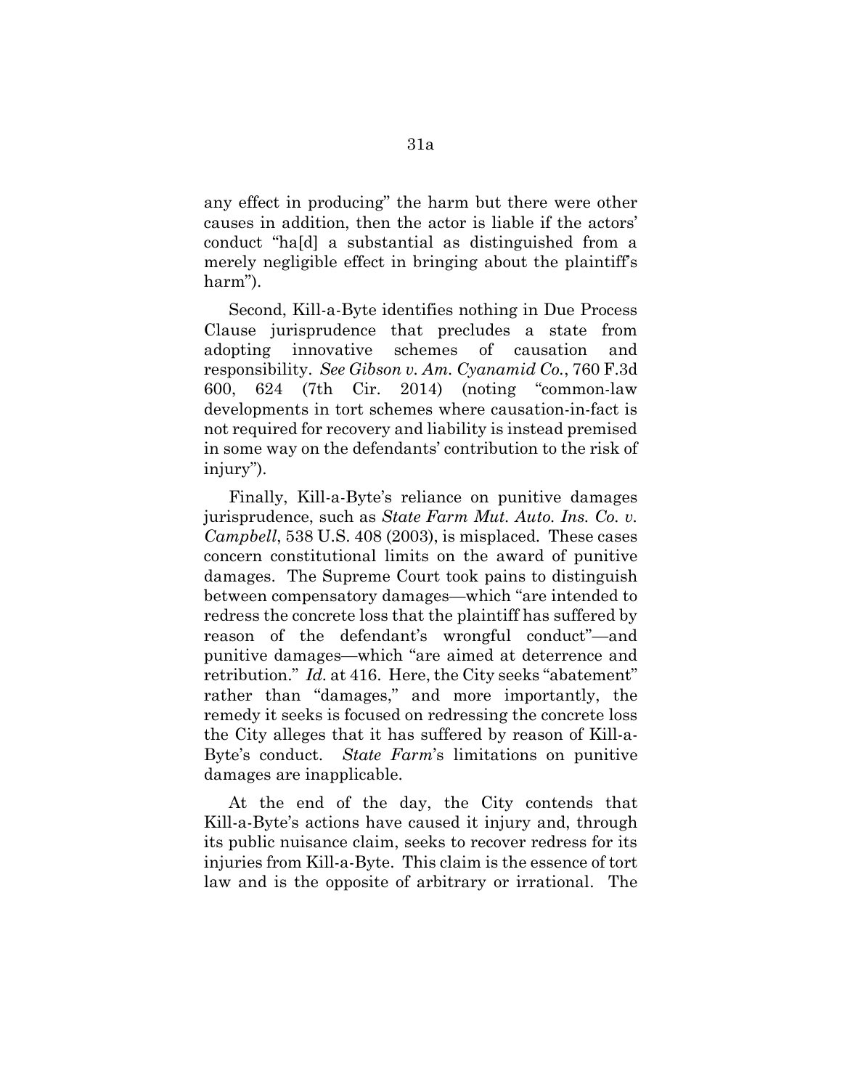any effect in producing" the harm but there were other causes in addition, then the actor is liable if the actors' conduct "ha[d] a substantial as distinguished from a merely negligible effect in bringing about the plaintiff's harm").

Second, Kill-a-Byte identifies nothing in Due Process Clause jurisprudence that precludes a state from adopting innovative schemes of causation and responsibility. *See Gibson v. Am. Cyanamid Co.*, 760 F.3d 600, 624 (7th Cir. 2014) (noting "common-law developments in tort schemes where causation-in-fact is not required for recovery and liability is instead premised in some way on the defendants' contribution to the risk of injury").

Finally, Kill-a-Byte's reliance on punitive damages jurisprudence, such as *State Farm Mut. Auto. Ins. Co. v. Campbell*, 538 U.S. 408 (2003), is misplaced. These cases concern constitutional limits on the award of punitive damages. The Supreme Court took pains to distinguish between compensatory damages—which "are intended to redress the concrete loss that the plaintiff has suffered by reason of the defendant's wrongful conduct"—and punitive damages—which "are aimed at deterrence and retribution." *Id.* at 416. Here, the City seeks "abatement" rather than "damages," and more importantly, the remedy it seeks is focused on redressing the concrete loss the City alleges that it has suffered by reason of Kill-a-Byte's conduct. *State Farm*'s limitations on punitive damages are inapplicable.

At the end of the day, the City contends that Kill-a-Byte's actions have caused it injury and, through its public nuisance claim, seeks to recover redress for its injuries from Kill-a-Byte. This claim is the essence of tort law and is the opposite of arbitrary or irrational. The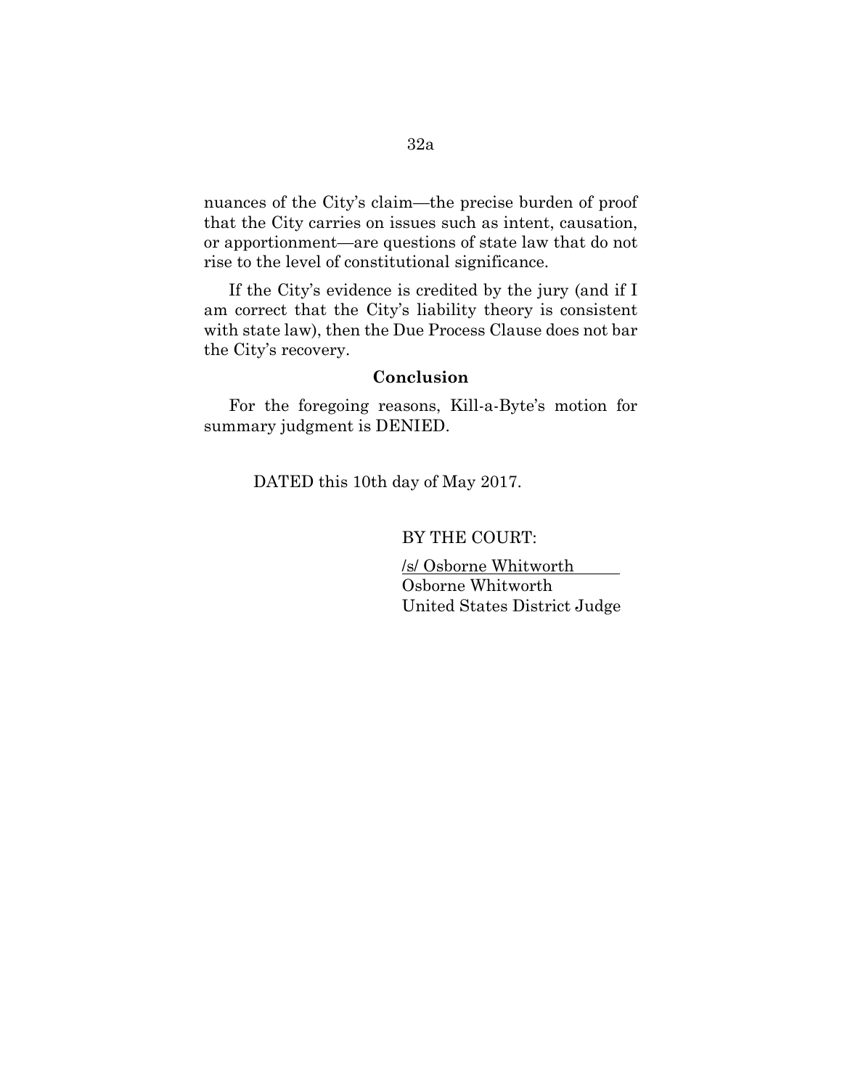nuances of the City's claim—the precise burden of proof that the City carries on issues such as intent, causation, or apportionment—are questions of state law that do not rise to the level of constitutional significance.

If the City's evidence is credited by the jury (and if I am correct that the City's liability theory is consistent with state law), then the Due Process Clause does not bar the City's recovery.

### **Conclusion**

For the foregoing reasons, Kill-a-Byte's motion for summary judgment is DENIED.

DATED this 10th day of May 2017.

BY THE COURT:

/s/ Osborne Whitworth Osborne Whitworth United States District Judge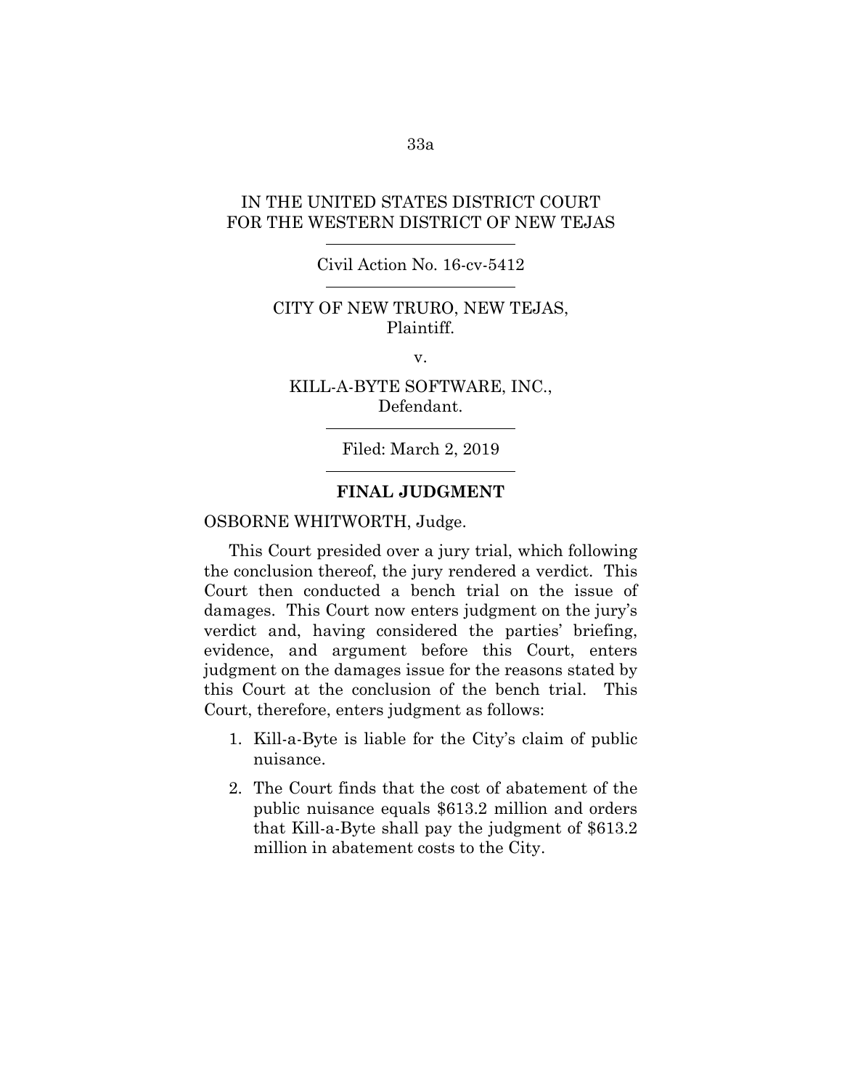### IN THE UNITED STATES DISTRICT COURT FOR THE WESTERN DISTRICT OF NEW TEJAS

### Civil Action No. 16-cv-5412

### CITY OF NEW TRURO, NEW TEJAS, Plaintiff.

v.

### KILL-A-BYTE SOFTWARE, INC., Defendant.

Filed: March 2, 2019

### **FINAL JUDGMENT**

#### OSBORNE WHITWORTH, Judge.

This Court presided over a jury trial, which following the conclusion thereof, the jury rendered a verdict. This Court then conducted a bench trial on the issue of damages. This Court now enters judgment on the jury's verdict and, having considered the parties' briefing, evidence, and argument before this Court, enters judgment on the damages issue for the reasons stated by this Court at the conclusion of the bench trial. This Court, therefore, enters judgment as follows:

- 1. Kill-a-Byte is liable for the City's claim of public nuisance.
- 2. The Court finds that the cost of abatement of the public nuisance equals \$613.2 million and orders that Kill-a-Byte shall pay the judgment of \$613.2 million in abatement costs to the City.

33a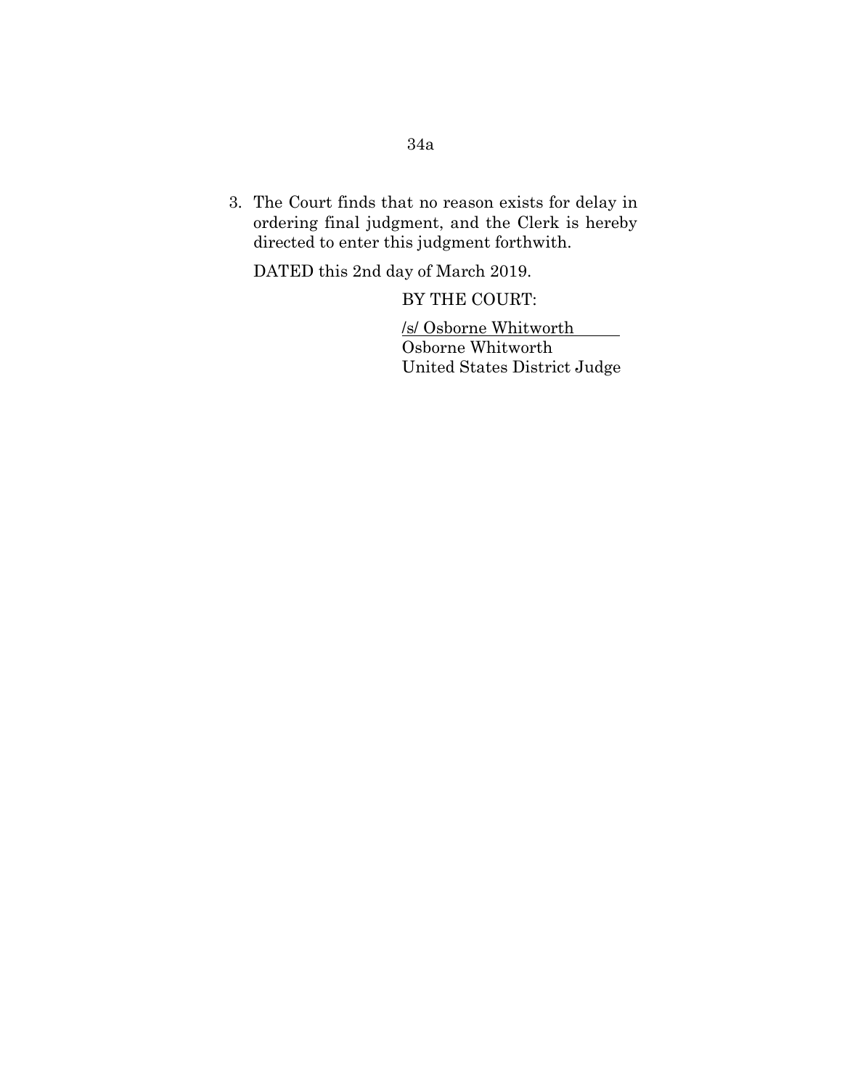# 34a

3. The Court finds that no reason exists for delay in ordering final judgment, and the Clerk is hereby directed to enter this judgment forthwith.

DATED this 2nd day of March 2019.

BY THE COURT:

/s/ Osborne Whitworth

Osborne Whitworth United States District Judge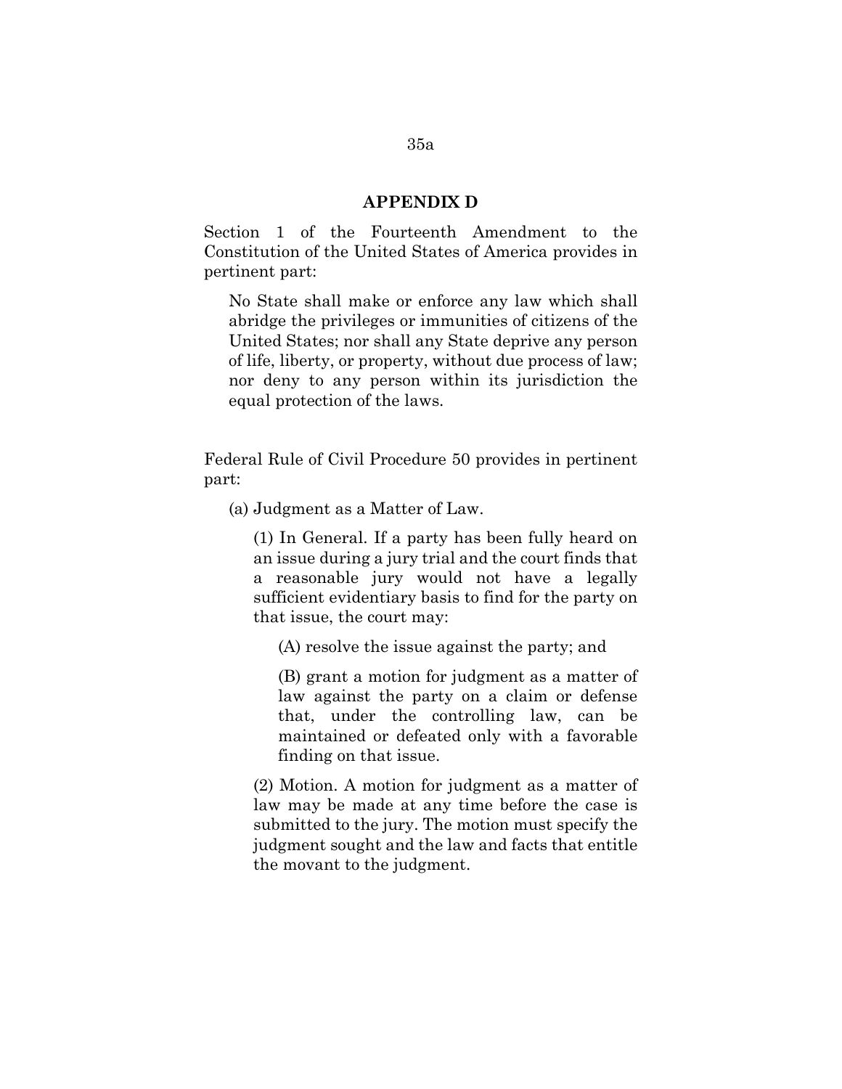#### **APPENDIX D**

Section 1 of the Fourteenth Amendment to the Constitution of the United States of America provides in pertinent part:

No State shall make or enforce any law which shall abridge the privileges or immunities of citizens of the United States; nor shall any State deprive any person of life, liberty, or property, without due process of law; nor deny to any person within its jurisdiction the equal protection of the laws.

Federal Rule of Civil Procedure 50 provides in pertinent part:

(a) Judgment as a Matter of Law.

(1) In General. If a party has been fully heard on an issue during a jury trial and the court finds that a reasonable jury would not have a legally sufficient evidentiary basis to find for the party on that issue, the court may:

(A) resolve the issue against the party; and

(B) grant a motion for judgment as a matter of law against the party on a claim or defense that, under the controlling law, can be maintained or defeated only with a favorable finding on that issue.

(2) Motion. A motion for judgment as a matter of law may be made at any time before the case is submitted to the jury. The motion must specify the judgment sought and the law and facts that entitle the movant to the judgment.